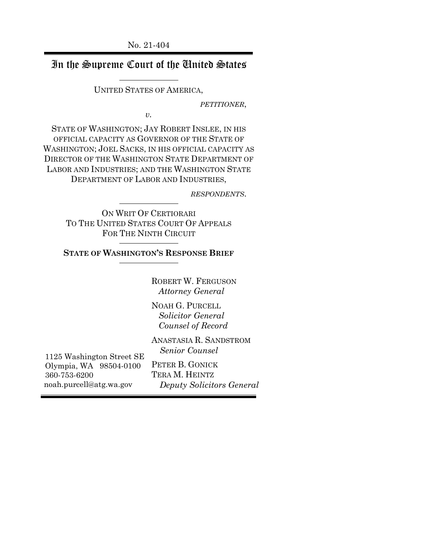# In the Supreme Court of the United States

UNITED STATES OF AMERICA,

*PETITIONER*,

*v.*

STATE OF WASHINGTON; JAY ROBERT INSLEE, IN HIS OFFICIAL CAPACITY AS GOVERNOR OF THE STATE OF WASHINGTON; JOEL SACKS, IN HIS OFFICIAL CAPACITY AS DIRECTOR OF THE WASHINGTON STATE DEPARTMENT OF LABOR AND INDUSTRIES; AND THE WASHINGTON STATE DEPARTMENT OF LABOR AND INDUSTRIES,

*RESPONDENTS*.

ON WRIT OF CERTIORARI TO THE UNITED STATES COURT OF APPEALS FOR THE NINTH CIRCUIT

**STATE OF WASHINGTON'S RESPONSE BRIEF**

ROBERT W. FERGUSON  *Attorney General*

NOAH G. PURCELL  *Solicitor General Counsel of Record*

ANASTASIA R. SANDSTROM  *Senior Counsel*

PETER B. GONICK TERA M. HEINTZ  *Deputy Solicitors General*

1125 Washington Street SE Olympia, WA 98504-0100 360-753-6200 noah.purcell@atg.wa.gov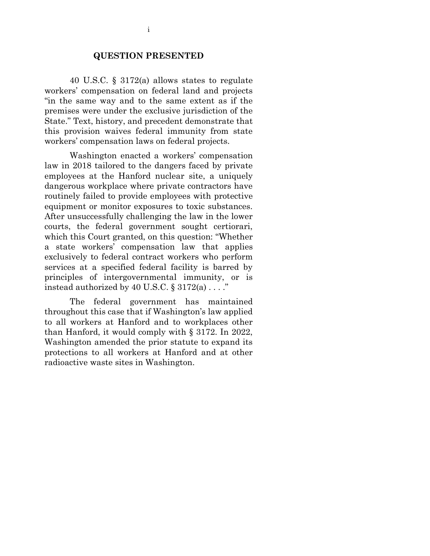#### **QUESTION PRESENTED**

40 U.S.C. § 3172(a) allows states to regulate workers' compensation on federal land and projects "in the same way and to the same extent as if the premises were under the exclusive jurisdiction of the State." Text, history, and precedent demonstrate that this provision waives federal immunity from state workers' compensation laws on federal projects.

Washington enacted a workers' compensation law in 2018 tailored to the dangers faced by private employees at the Hanford nuclear site, a uniquely dangerous workplace where private contractors have routinely failed to provide employees with protective equipment or monitor exposures to toxic substances. After unsuccessfully challenging the law in the lower courts, the federal government sought certiorari, which this Court granted, on this question: "Whether a state workers' compensation law that applies exclusively to federal contract workers who perform services at a specified federal facility is barred by principles of intergovernmental immunity, or is instead authorized by 40 U.S.C.  $\S 3172(a) \ldots$ ."

The federal government has maintained throughout this case that if Washington's law applied to all workers at Hanford and to workplaces other than Hanford, it would comply with § 3172. In 2022, Washington amended the prior statute to expand its protections to all workers at Hanford and at other radioactive waste sites in Washington.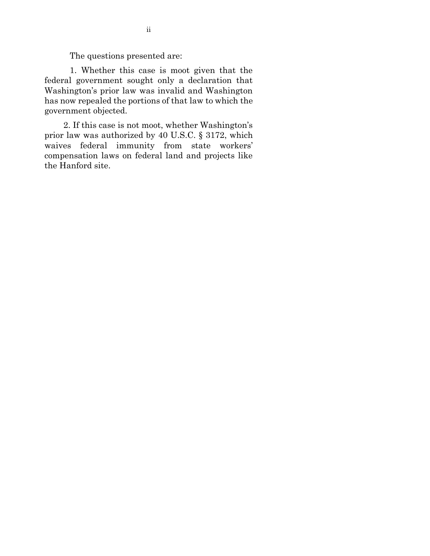The questions presented are:

1. Whether this case is moot given that the federal government sought only a declaration that Washington's prior law was invalid and Washington has now repealed the portions of that law to which the government objected.

2. If this case is not moot, whether Washington's prior law was authorized by 40 U.S.C. § 3172, which waives federal immunity from state workers' compensation laws on federal land and projects like the Hanford site.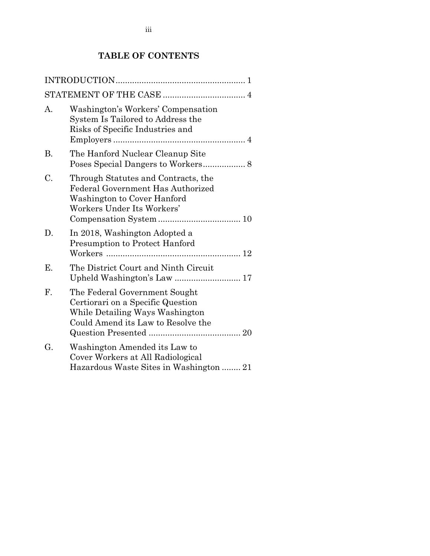# **TABLE OF CONTENTS**

| А. | Washington's Workers' Compensation<br>System Is Tailored to Address the<br>Risks of Specific Industries and                                 |
|----|---------------------------------------------------------------------------------------------------------------------------------------------|
| Β. | The Hanford Nuclear Cleanup Site                                                                                                            |
| C. | Through Statutes and Contracts, the<br>Federal Government Has Authorized<br>Washington to Cover Hanford<br>Workers Under Its Workers'       |
| D. | In 2018, Washington Adopted a<br><b>Presumption to Protect Hanford</b>                                                                      |
| Ε. | The District Court and Ninth Circuit                                                                                                        |
| F. | The Federal Government Sought<br>Certiorari on a Specific Question<br>While Detailing Ways Washington<br>Could Amend its Law to Resolve the |
| G. | Washington Amended its Law to<br>Cover Workers at All Radiological<br>Hazardous Waste Sites in Washington  21                               |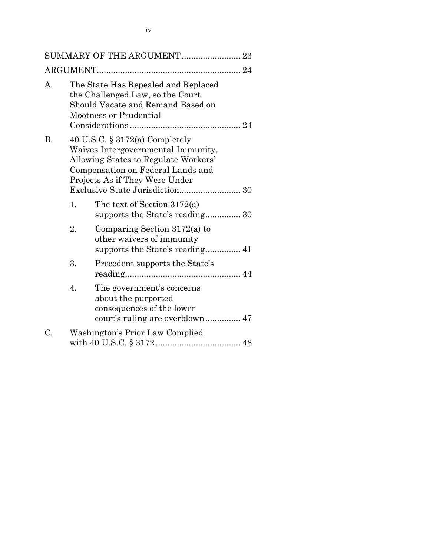|                |    | SUMMARY OF THE ARGUMENT 23                                                                                                                                                             |  |
|----------------|----|----------------------------------------------------------------------------------------------------------------------------------------------------------------------------------------|--|
|                |    |                                                                                                                                                                                        |  |
| $\mathbf{A}$ . |    | The State Has Repealed and Replaced<br>the Challenged Law, so the Court<br>Should Vacate and Remand Based on<br><b>Mootness or Prudential</b>                                          |  |
| <b>B.</b>      |    | 40 U.S.C. $\S 3172(a)$ Completely<br>Waives Intergovernmental Immunity,<br>Allowing States to Regulate Workers'<br>Compensation on Federal Lands and<br>Projects As if They Were Under |  |
|                | 1. | The text of Section $3172(a)$<br>supports the State's reading 30                                                                                                                       |  |
|                | 2. | Comparing Section $3172(a)$ to<br>other waivers of immunity                                                                                                                            |  |
|                | 3. | Precedent supports the State's                                                                                                                                                         |  |
|                | 4. | The government's concerns<br>about the purported<br>consequences of the lower                                                                                                          |  |
| C.             |    | Washington's Prior Law Complied                                                                                                                                                        |  |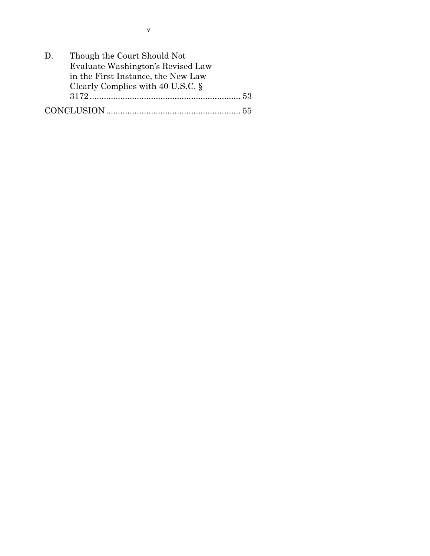| $D_{\perp}$ | Though the Court Should Not          |    |
|-------------|--------------------------------------|----|
|             | Evaluate Washington's Revised Law    |    |
|             | in the First Instance, the New Law   |    |
|             | Clearly Complies with 40 U.S.C. $\S$ |    |
|             |                                      |    |
|             |                                      | 55 |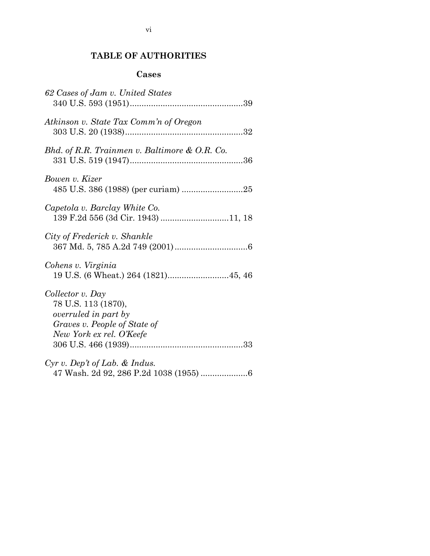# **TABLE OF AUTHORITIES**

## **Cases**

| 62 Cases of Jam v. United States                                                                                            |
|-----------------------------------------------------------------------------------------------------------------------------|
| Atkinson v. State Tax Comm'n of Oregon                                                                                      |
| Bhd. of R.R. Trainmen v. Baltimore & O.R. Co.                                                                               |
| Bowen v. Kizer                                                                                                              |
| Capetola v. Barclay White Co.<br>139 F.2d 556 (3d Cir. 1943) 11, 18                                                         |
| City of Frederick v. Shankle                                                                                                |
| Cohens v. Virginia                                                                                                          |
| Collector v. Day<br>78 U.S. 113 (1870),<br>overruled in part by<br>Graves v. People of State of<br>New York ex rel. O'Keefe |
| $Cyr$ v. Dep't of Lab. & Indus.                                                                                             |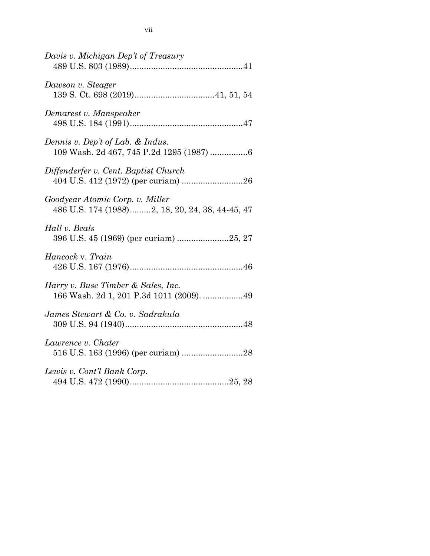| Davis v. Michigan Dep't of Treasury                                                |
|------------------------------------------------------------------------------------|
| Dawson v. Steager                                                                  |
| Demarest v. Manspeaker                                                             |
| Dennis v. Dep't of Lab. & Indus.<br>109 Wash. 2d 467, 745 P.2d 1295 (1987) 6       |
| Diffenderfer v. Cent. Baptist Church                                               |
| Goodyear Atomic Corp. v. Miller<br>486 U.S. 174 (1988)2, 18, 20, 24, 38, 44-45, 47 |
| Hall v. Beals<br>396 U.S. 45 (1969) (per curiam) 25, 27                            |
| Hancock v. Train                                                                   |
| Harry v. Buse Timber & Sales, Inc.<br>166 Wash. 2d 1, 201 P.3d 1011 (2009). 49     |
| James Stewart & Co. v. Sadrakula                                                   |
| Lawrence v. Chater                                                                 |
| Lewis v. Cont'l Bank Corp.                                                         |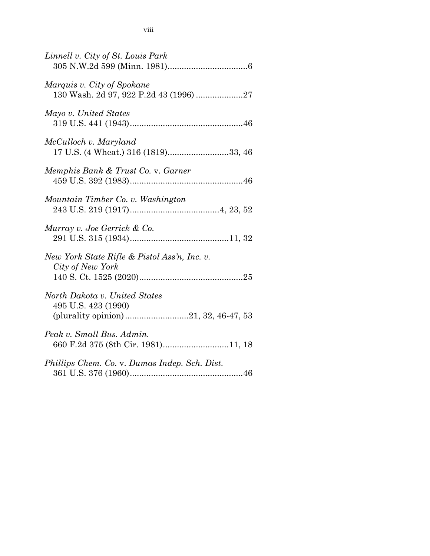| Linnell v. City of St. Louis Park                                                            |
|----------------------------------------------------------------------------------------------|
| Marquis v. City of Spokane<br>130 Wash. 2d 97, 922 P.2d 43 (1996) 27                         |
| Mayo v. United States                                                                        |
| McCulloch v. Maryland<br>17 U.S. (4 Wheat.) 316 (1819)33, 46                                 |
| Memphis Bank & Trust Co. v. Garner                                                           |
| Mountain Timber Co. v. Washington                                                            |
| Murray v. Joe Gerrick & Co.                                                                  |
| New York State Rifle & Pistol Ass'n, Inc. v.<br>City of New York                             |
| North Dakota v. United States<br>495 U.S. 423 (1990)<br>(plurality opinion)21, 32, 46-47, 53 |
| Peak v. Small Bus. Admin.<br>660 F.2d 375 (8th Cir. 1981)11, 18                              |
| Phillips Chem. Co. v. Dumas Indep. Sch. Dist.                                                |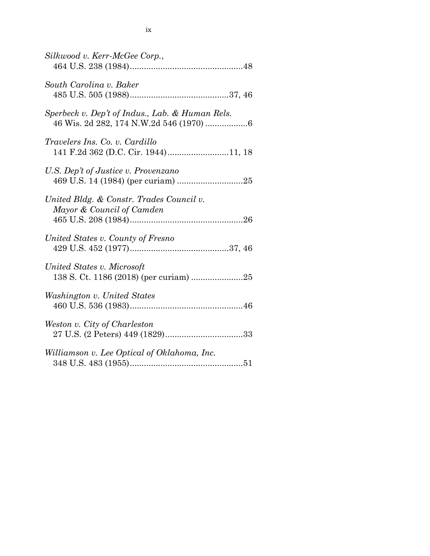| Silkwood v. Kerr-McGee Corp.,                                                              |
|--------------------------------------------------------------------------------------------|
| South Carolina v. Baker                                                                    |
| Sperbeck v. Dep't of Indus., Lab. & Human Rels.<br>46 Wis. 2d 282, 174 N.W.2d 546 (1970) 6 |
| <i>Travelers Ins. Co. v. Cardillo</i><br>141 F.2d 362 (D.C. Cir. 1944)11, 18               |
| U.S. Dep't of Justice v. Provenzano                                                        |
| United Bldg. & Constr. Trades Council v.<br>Mayor & Council of Camden                      |
| United States v. County of Fresno                                                          |
| United States v. Microsoft                                                                 |
| Washington v. United States                                                                |
| Weston v. City of Charleston                                                               |
| Williamson v. Lee Optical of Oklahoma, Inc.                                                |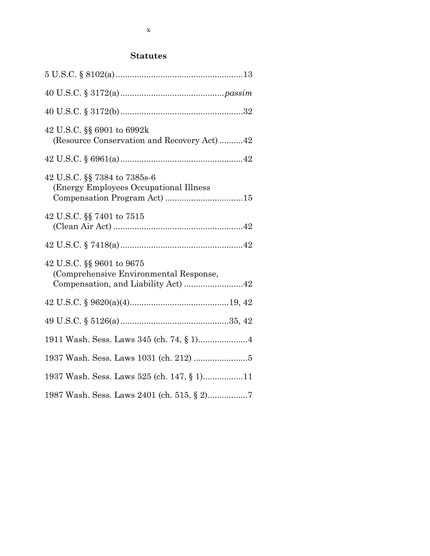## **Statutes**

| 42 U.S.C. §§ 6901 to 6992k<br>(Resource Conservation and Recovery Act)42                                   |  |
|------------------------------------------------------------------------------------------------------------|--|
|                                                                                                            |  |
| 42 U.S.C. §§ 7384 to 7385s-6<br>(Energy Employees Occupational Illness)                                    |  |
| 42 U.S.C. §§ 7401 to 7515                                                                                  |  |
|                                                                                                            |  |
| 42 U.S.C. §§ 9601 to 9675<br>(Comprehensive Environmental Response,<br>Compensation, and Liability Act) 42 |  |
|                                                                                                            |  |
|                                                                                                            |  |
|                                                                                                            |  |
|                                                                                                            |  |
| 1937 Wash. Sess. Laws 525 (ch. 147, § 1)11                                                                 |  |
| 1987 Wash. Sess. Laws 2401 (ch. 515, § 2)7                                                                 |  |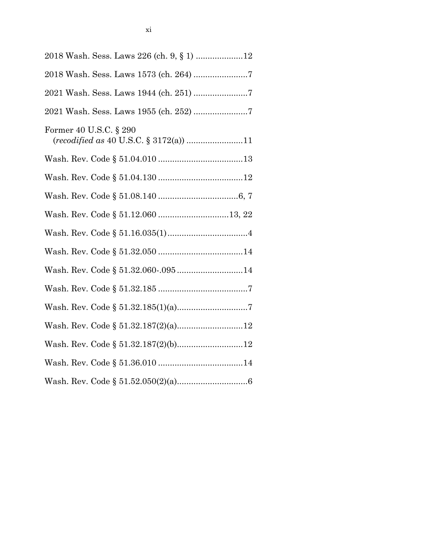| 2018 Wash. Sess. Laws 226 (ch. 9, § 1) 12                                         |
|-----------------------------------------------------------------------------------|
|                                                                                   |
|                                                                                   |
|                                                                                   |
| Former 40 U.S.C. § 290<br>$(recodified\ as\ 40\ U.S.C.\ \S\ 3172(a))\  \dots\ 11$ |
|                                                                                   |
|                                                                                   |
|                                                                                   |
| Wash. Rev. Code § 51.12.060 13, 22                                                |
|                                                                                   |
|                                                                                   |
| Wash. Rev. Code § 51.32.060-.09514                                                |
|                                                                                   |
|                                                                                   |
|                                                                                   |
| Wash. Rev. Code § 51.32.187(2)(b)12                                               |
|                                                                                   |
|                                                                                   |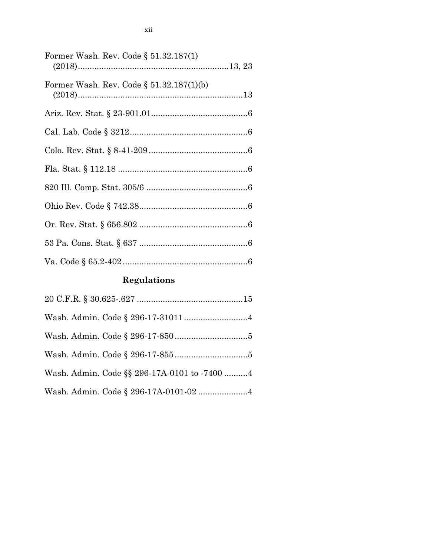| Former Wash. Rev. Code § 51.32.187(1)       |  |
|---------------------------------------------|--|
|                                             |  |
| Former Wash. Rev. Code $\S 51.32.187(1)(b)$ |  |
|                                             |  |
|                                             |  |
|                                             |  |
|                                             |  |
|                                             |  |
|                                             |  |
|                                             |  |
|                                             |  |
|                                             |  |

# **Regulations**

| Wash. Admin. Code §§ 296-17A-0101 to -7400 4 |  |
|----------------------------------------------|--|
|                                              |  |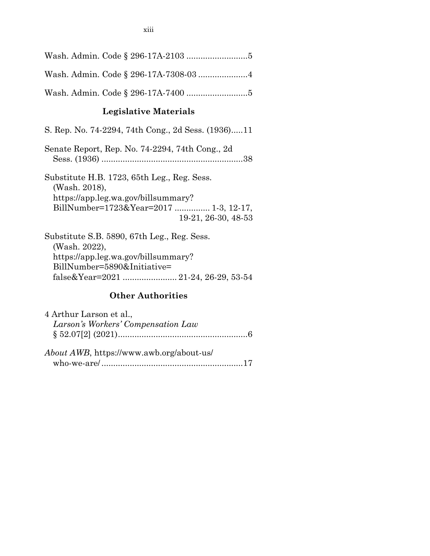#### **Legislative Materials**

S. Rep. No. 74-2294, 74th Cong., 2d Sess. (1936).....11

Senate Report, Rep. No. 74-2294, 74th Cong., 2d Sess. (1936) ............................................................38

Substitute H.B. 1723, 65th Leg., Reg. Sess. (Wash. 2018), https://app.leg.wa.gov/billsummary? BillNumber=1723&Year=2017 ............... 1-3, 12-17, 19-21, 26-30, 48-53

Substitute S.B. 5890, 67th Leg., Reg. Sess. (Wash. 2022), https://app.leg.wa.gov/billsummary? BillNumber=5890&Initiative= false&Year=2021 ....................... 21-24, 26-29, 53-54

#### **Other Authorities**

| 4 Arthur Larson et al.,                  |  |
|------------------------------------------|--|
| Larson's Workers' Compensation Law       |  |
|                                          |  |
|                                          |  |
| About AWB, https://www.awb.org/about-us/ |  |
|                                          |  |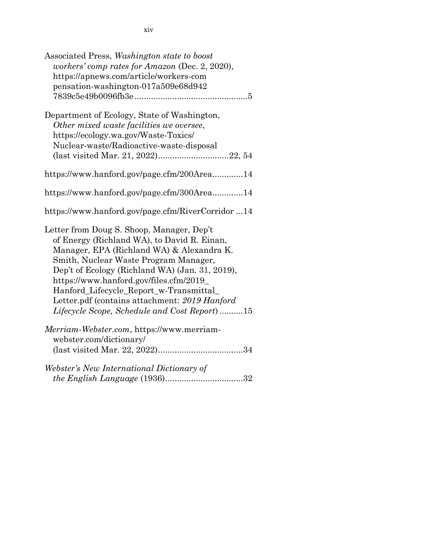| Associated Press, Washington state to boost<br>workers' comp rates for Amazon (Dec. 2, 2020),<br>https://apnews.com/article/workers-com<br>pensation-washington-017a509e68d942                                                                                                                                                                                                                                          |
|-------------------------------------------------------------------------------------------------------------------------------------------------------------------------------------------------------------------------------------------------------------------------------------------------------------------------------------------------------------------------------------------------------------------------|
| Department of Ecology, State of Washington,<br>Other mixed waste facilities we oversee,<br>https://ecology.wa.gov/Waste-Toxics/<br>Nuclear-waste/Radioactive-waste-disposal<br>(last visited Mar. 21, 2022)22, 54                                                                                                                                                                                                       |
| https://www.hanford.gov/page.cfm/200Area14                                                                                                                                                                                                                                                                                                                                                                              |
| https://www.hanford.gov/page.cfm/300Area14                                                                                                                                                                                                                                                                                                                                                                              |
| https://www.hanford.gov/page.cfm/RiverCorridor14                                                                                                                                                                                                                                                                                                                                                                        |
| Letter from Doug S. Shoop, Manager, Dep't<br>of Energy (Richland WA), to David R. Einan,<br>Manager, EPA (Richland WA) & Alexandra K.<br>Smith, Nuclear Waste Program Manager,<br>Dep't of Ecology (Richland WA) (Jan. 31, 2019),<br>https://www.hanford.gov/files.cfm/2019_<br>Hanford_Lifecycle_Report_w-Transmittal<br>Letter.pdf (contains attachment: 2019 Hanford<br>Lifecycle Scope, Schedule and Cost Report)15 |
| Merriam-Webster.com, https://www.merriam-<br>webster.com/dictionary/                                                                                                                                                                                                                                                                                                                                                    |
| Webster's New International Dictionary of                                                                                                                                                                                                                                                                                                                                                                               |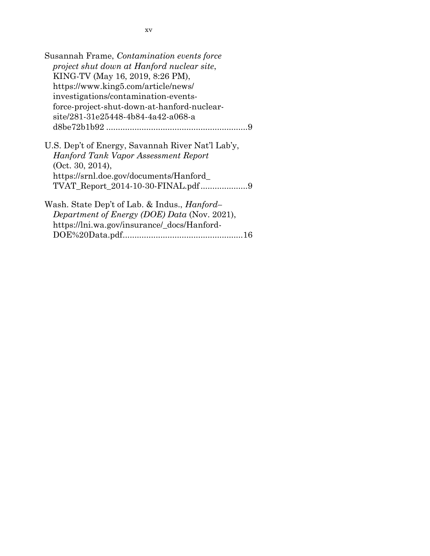| Susannah Frame, Contamination events force           |
|------------------------------------------------------|
| project shut down at Hanford nuclear site,           |
| KING-TV (May 16, 2019, 8:26 PM),                     |
| https://www.king5.com/article/news/                  |
| investigations/contamination-events-                 |
| force-project-shut-down-at-hanford-nuclear-          |
| site/281-31e25448-4b84-4a42-a068-a                   |
|                                                      |
| U.S. Dep't of Energy, Savannah River Nat'l Lab'y,    |
| Hanford Tank Vapor Assessment Report                 |
| (Oct. 30, 2014),                                     |
| https://srnl.doe.gov/documents/Hanford               |
|                                                      |
| Wash. State Dep't of Lab. & Indus., <i>Hanford</i> - |
| Department of Energy (DOE) Data (Nov. 2021),         |
| https://lni.wa.gov/insurance/_docs/Hanford-          |
|                                                      |
|                                                      |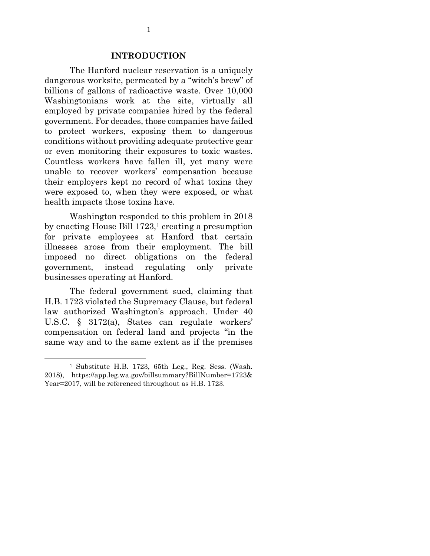#### **INTRODUCTION**

The Hanford nuclear reservation is a uniquely dangerous worksite, permeated by a "witch's brew" of billions of gallons of radioactive waste. Over 10,000 Washingtonians work at the site, virtually all employed by private companies hired by the federal government. For decades, those companies have failed to protect workers, exposing them to dangerous conditions without providing adequate protective gear or even monitoring their exposures to toxic wastes. Countless workers have fallen ill, yet many were unable to recover workers' compensation because their employers kept no record of what toxins they were exposed to, when they were exposed, or what health impacts those toxins have.

Washington responded to this problem in 2018 by enacting House Bill 1723,<sup>1</sup> creating a presumption for private employees at Hanford that certain illnesses arose from their employment. The bill imposed no direct obligations on the federal government, instead regulating only private businesses operating at Hanford.

The federal government sued, claiming that H.B. 1723 violated the Supremacy Clause, but federal law authorized Washington's approach. Under 40 U.S.C. § 3172(a), States can regulate workers' compensation on federal land and projects "in the same way and to the same extent as if the premises

1

<sup>1</sup> Substitute H.B. 1723, 65th Leg., Reg. Sess. (Wash. 2018), https://app.leg.wa.gov/billsummary?BillNumber=1723& Year=2017, will be referenced throughout as H.B. 1723.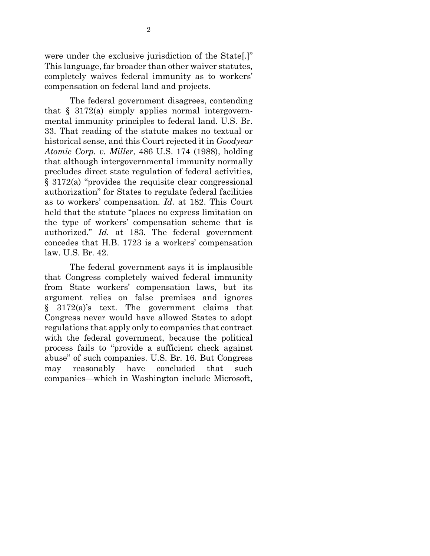were under the exclusive jurisdiction of the State[.]" This language, far broader than other waiver statutes, completely waives federal immunity as to workers' compensation on federal land and projects.

The federal government disagrees, contending that  $\S$  3172(a) simply applies normal intergovernmental immunity principles to federal land. U.S. Br. 33. That reading of the statute makes no textual or historical sense, and this Court rejected it in *Goodyear Atomic Corp. v. Miller*, 486 U.S. 174 (1988), holding that although intergovernmental immunity normally precludes direct state regulation of federal activities, § 3172(a) "provides the requisite clear congressional authorization" for States to regulate federal facilities as to workers' compensation. *Id.* at 182. This Court held that the statute "places no express limitation on the type of workers' compensation scheme that is authorized." *Id.* at 183. The federal government concedes that H.B. 1723 is a workers' compensation law. U.S. Br. 42.

The federal government says it is implausible that Congress completely waived federal immunity from State workers' compensation laws, but its argument relies on false premises and ignores § 3172(a)'s text. The government claims that Congress never would have allowed States to adopt regulations that apply only to companies that contract with the federal government, because the political process fails to "provide a sufficient check against abuse" of such companies. U.S. Br. 16. But Congress may reasonably have concluded that such companies—which in Washington include Microsoft,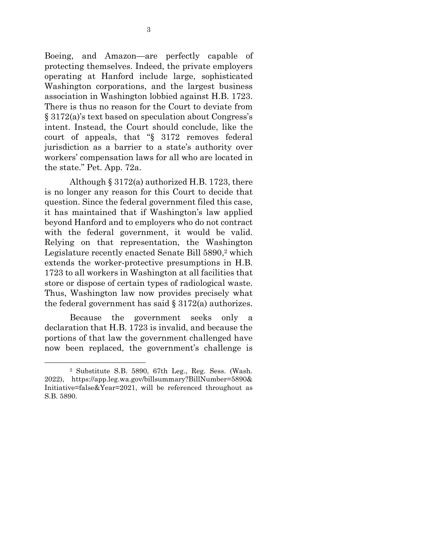Boeing, and Amazon—are perfectly capable of protecting themselves. Indeed, the private employers operating at Hanford include large, sophisticated Washington corporations, and the largest business association in Washington lobbied against H.B. 1723. There is thus no reason for the Court to deviate from § 3172(a)'s text based on speculation about Congress's intent. Instead, the Court should conclude, like the court of appeals, that "§ 3172 removes federal jurisdiction as a barrier to a state's authority over workers' compensation laws for all who are located in the state." Pet. App. 72a.

Although § 3172(a) authorized H.B. 1723, there is no longer any reason for this Court to decide that question. Since the federal government filed this case, it has maintained that if Washington's law applied beyond Hanford and to employers who do not contract with the federal government, it would be valid. Relying on that representation, the Washington Legislature recently enacted Senate Bill 5890, <sup>2</sup> which extends the worker-protective presumptions in H.B. 1723 to all workers in Washington at all facilities that store or dispose of certain types of radiological waste. Thus, Washington law now provides precisely what the federal government has said  $\S 3172(a)$  authorizes.

Because the government seeks only a declaration that H.B. 1723 is invalid, and because the portions of that law the government challenged have now been replaced, the government's challenge is

1

<sup>2</sup> Substitute S.B. 5890, 67th Leg., Reg. Sess. (Wash. 2022), https://app.leg.wa.gov/billsummary?BillNumber=5890& Initiative=false&Year=2021, will be referenced throughout as S.B. 5890.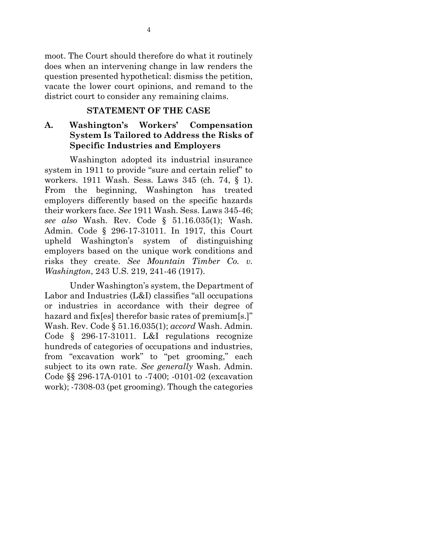moot. The Court should therefore do what it routinely does when an intervening change in law renders the question presented hypothetical: dismiss the petition, vacate the lower court opinions, and remand to the district court to consider any remaining claims.

#### **STATEMENT OF THE CASE**

# **A. Washington's Workers' Compensation System Is Tailored to Address the Risks of Specific Industries and Employers**

Washington adopted its industrial insurance system in 1911 to provide "sure and certain relief" to workers. 1911 Wash. Sess. Laws 345 (ch. 74, § 1). From the beginning, Washington has treated employers differently based on the specific hazards their workers face. *See* 1911 Wash. Sess. Laws 345-46; *see also* Wash. Rev. Code § 51.16.035(1); Wash. Admin. Code § 296-17-31011. In 1917, this Court upheld Washington's system of distinguishing employers based on the unique work conditions and risks they create. *See Mountain Timber Co. v. Washington*, 243 U.S. 219, 241-46 (1917).

Under Washington's system, the Department of Labor and Industries (L&I) classifies "all occupations or industries in accordance with their degree of hazard and fix[es] therefor basic rates of premium[s.]" Wash. Rev. Code § 51.16.035(1); *accord* Wash. Admin. Code § 296-17-31011. L&I regulations recognize hundreds of categories of occupations and industries, from "excavation work" to "pet grooming," each subject to its own rate. *See generally* Wash. Admin. Code §§ 296-17A-0101 to -7400; -0101-02 (excavation work); -7308-03 (pet grooming). Though the categories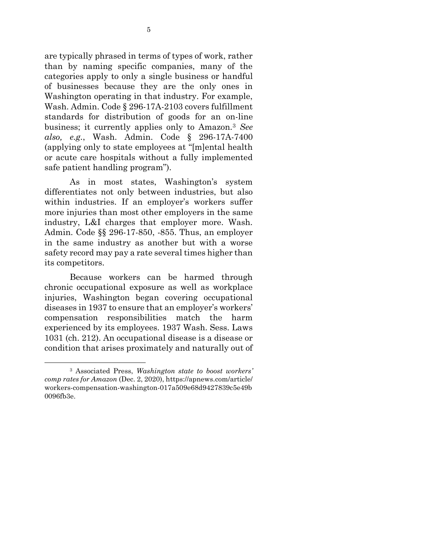are typically phrased in terms of types of work, rather than by naming specific companies, many of the categories apply to only a single business or handful of businesses because they are the only ones in Washington operating in that industry. For example, Wash. Admin. Code § 296-17A-2103 covers fulfillment standards for distribution of goods for an on-line business; it currently applies only to Amazon.<sup>3</sup> *See also, e.g.*, Wash. Admin. Code § 296-17A-7400 (applying only to state employees at "[m]ental health or acute care hospitals without a fully implemented safe patient handling program").

As in most states, Washington's system differentiates not only between industries, but also within industries. If an employer's workers suffer more injuries than most other employers in the same industry, L&I charges that employer more. Wash. Admin. Code §§ 296-17-850, -855. Thus, an employer in the same industry as another but with a worse safety record may pay a rate several times higher than its competitors.

Because workers can be harmed through chronic occupational exposure as well as workplace injuries, Washington began covering occupational diseases in 1937 to ensure that an employer's workers' compensation responsibilities match the harm experienced by its employees. 1937 Wash. Sess. Laws 1031 (ch. 212). An occupational disease is a disease or condition that arises proximately and naturally out of

1

<sup>3</sup> Associated Press, *Washington state to boost workers' comp rates for Amazon* (Dec. 2, 2020), https://apnews.com/article/ workers-compensation-washington-017a509e68d9427839c5e49b 0096fb3e.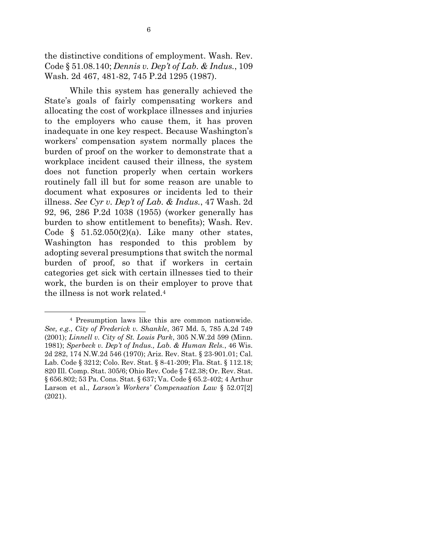the distinctive conditions of employment. Wash. Rev. Code § 51.08.140; *Dennis v. Dep't of Lab. & Indus.*, 109 Wash. 2d 467, 481-82, 745 P.2d 1295 (1987).

While this system has generally achieved the State's goals of fairly compensating workers and allocating the cost of workplace illnesses and injuries to the employers who cause them, it has proven inadequate in one key respect. Because Washington's workers' compensation system normally places the burden of proof on the worker to demonstrate that a workplace incident caused their illness, the system does not function properly when certain workers routinely fall ill but for some reason are unable to document what exposures or incidents led to their illness. *See Cyr v. Dep't of Lab. & Indus.*, 47 Wash. 2d 92, 96, 286 P.2d 1038 (1955) (worker generally has burden to show entitlement to benefits); Wash. Rev. Code  $\S$  51.52.050(2)(a). Like many other states, Washington has responded to this problem by adopting several presumptions that switch the normal burden of proof, so that if workers in certain categories get sick with certain illnesses tied to their work, the burden is on their employer to prove that the illness is not work related. $4$ 

 $\overline{a}$ 

<sup>4</sup> Presumption laws like this are common nationwide. *See, e.g.*, *City of Frederick v. Shankle*, 367 Md. 5, 785 A.2d 749 (2001); *Linnell v. City of St. Louis Park*, 305 N.W.2d 599 (Minn. 1981); *Sperbeck v. Dep't of Indus., Lab. & Human Rels.*, 46 Wis. 2d 282, 174 N.W.2d 546 (1970); Ariz. Rev. Stat. § 23-901.01; Cal. Lab. Code § 3212; Colo. Rev. Stat. § 8-41-209; Fla. Stat. § 112.18; 820 Ill. Comp. Stat. 305/6; Ohio Rev. Code § 742.38; Or. Rev. Stat. § 656.802; 53 Pa. Cons. Stat. § 637; Va. Code § 65.2-402; 4 Arthur Larson et al., *Larson's Workers' Compensation Law* § 52.07[2] (2021).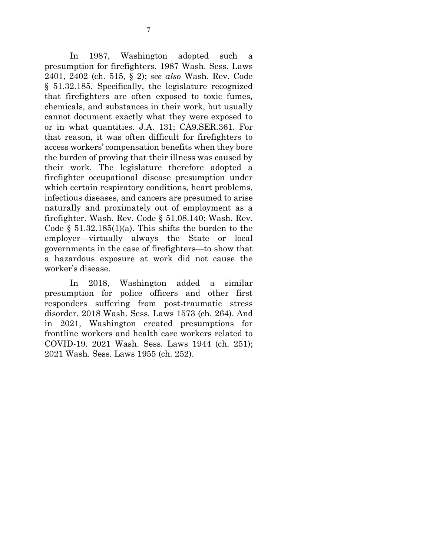In 1987, Washington adopted such a presumption for firefighters. 1987 Wash. Sess. Laws 2401, 2402 (ch. 515, § 2); *see also* Wash. Rev. Code § 51.32.185. Specifically, the legislature recognized that firefighters are often exposed to toxic fumes, chemicals, and substances in their work, but usually cannot document exactly what they were exposed to or in what quantities. J.A. 131; CA9.SER.361. For that reason, it was often difficult for firefighters to access workers' compensation benefits when they bore the burden of proving that their illness was caused by their work. The legislature therefore adopted a firefighter occupational disease presumption under which certain respiratory conditions, heart problems, infectious diseases, and cancers are presumed to arise naturally and proximately out of employment as a firefighter. Wash. Rev. Code § 51.08.140; Wash. Rev. Code  $\S$  51.32.185(1)(a). This shifts the burden to the employer—virtually always the State or local governments in the case of firefighters—to show that a hazardous exposure at work did not cause the worker's disease.

In 2018, Washington added a similar presumption for police officers and other first responders suffering from post-traumatic stress disorder. 2018 Wash. Sess. Laws 1573 (ch. 264). And in 2021, Washington created presumptions for frontline workers and health care workers related to COVID-19. 2021 Wash. Sess. Laws 1944 (ch. 251); 2021 Wash. Sess. Laws 1955 (ch. 252).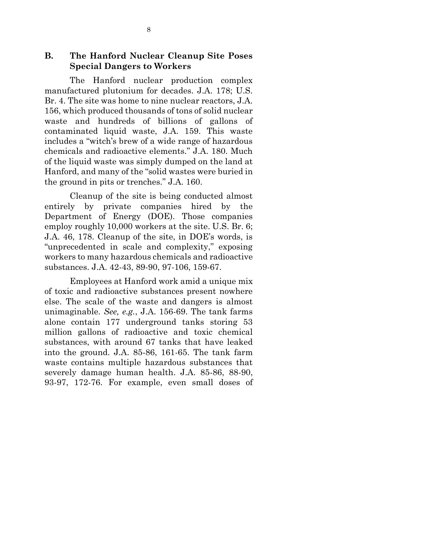**B. The Hanford Nuclear Cleanup Site Poses Special Dangers to Workers**

The Hanford nuclear production complex manufactured plutonium for decades. J.A. 178; U.S. Br. 4. The site was home to nine nuclear reactors, J.A. 156, which produced thousands of tons of solid nuclear waste and hundreds of billions of gallons of contaminated liquid waste, J.A. 159. This waste includes a "witch's brew of a wide range of hazardous chemicals and radioactive elements." J.A. 180. Much of the liquid waste was simply dumped on the land at Hanford, and many of the "solid wastes were buried in the ground in pits or trenches." J.A. 160.

Cleanup of the site is being conducted almost entirely by private companies hired by the Department of Energy (DOE). Those companies employ roughly 10,000 workers at the site. U.S. Br. 6; J.A. 46, 178. Cleanup of the site, in DOE's words, is "unprecedented in scale and complexity," exposing workers to many hazardous chemicals and radioactive substances. J.A. 42-43, 89-90, 97-106, 159-67.

Employees at Hanford work amid a unique mix of toxic and radioactive substances present nowhere else. The scale of the waste and dangers is almost unimaginable. *See, e.g.*, J.A. 156-69. The tank farms alone contain 177 underground tanks storing 53 million gallons of radioactive and toxic chemical substances, with around 67 tanks that have leaked into the ground. J.A. 85-86, 161-65. The tank farm waste contains multiple hazardous substances that severely damage human health. J.A. 85-86, 88-90, 93-97, 172-76. For example, even small doses of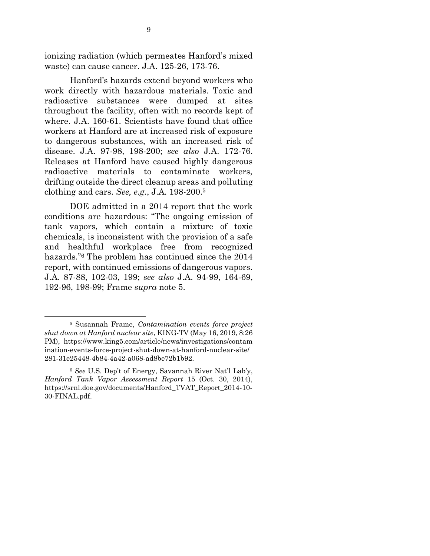ionizing radiation (which permeates Hanford's mixed waste) can cause cancer. J.A. 125-26, 173-76.

Hanford's hazards extend beyond workers who work directly with hazardous materials. Toxic and radioactive substances were dumped at sites throughout the facility, often with no records kept of where. J.A. 160-61. Scientists have found that office workers at Hanford are at increased risk of exposure to dangerous substances, with an increased risk of disease. J.A. 97-98, 198-200; *see also* J.A. 172-76. Releases at Hanford have caused highly dangerous radioactive materials to contaminate workers, drifting outside the direct cleanup areas and polluting clothing and cars. *See, e.g.*, J.A. 198-200. 5

DOE admitted in a 2014 report that the work conditions are hazardous: "The ongoing emission of tank vapors, which contain a mixture of toxic chemicals, is inconsistent with the provision of a safe and healthful workplace free from recognized hazards."<sup>6</sup> The problem has continued since the 2014 report, with continued emissions of dangerous vapors. J.A. 87-88, 102-03, 199; *see also* J.A. 94-99, 164-69, 192-96, 198-99; Frame *supra* note 5.

 $\overline{a}$ 

<sup>5</sup> Susannah Frame, *Contamination events force project shut down at Hanford nuclear site*, KING-TV (May 16, 2019, 8:26 PM), https://www.king5.com/article/news/investigations/contam ination-events-force-project-shut-down-at-hanford-nuclear-site/ 281-31e25448-4b84-4a42-a068-ad8be72b1b92.

<sup>6</sup> *See* U.S. Dep't of Energy, Savannah River Nat'l Lab'y, *Hanford Tank Vapor Assessment Report* 15 (Oct. 30, 2014), https://srnl.doe.gov/documents/Hanford\_TVAT\_Report\_2014-10- 30-FINAL.pdf.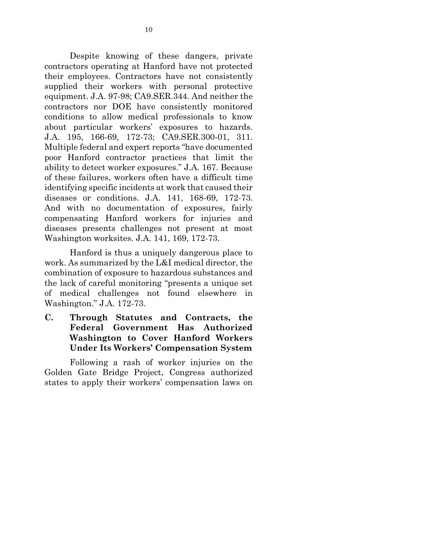Despite knowing of these dangers, private contractors operating at Hanford have not protected their employees. Contractors have not consistently supplied their workers with personal protective equipment. J.A. 97-98; CA9.SER.344. And neither the contractors nor DOE have consistently monitored conditions to allow medical professionals to know about particular workers' exposures to hazards. J.A. 195, 166-69, 172-73; CA9.SER.300-01, 311. Multiple federal and expert reports "have documented poor Hanford contractor practices that limit the ability to detect worker exposures." J.A. 167. Because of these failures, workers often have a difficult time identifying specific incidents at work that caused their diseases or conditions. J.A. 141, 168-69, 172-73. And with no documentation of exposures, fairly compensating Hanford workers for injuries and diseases presents challenges not present at most Washington worksites. J.A. 141, 169, 172-73.

Hanford is thus a uniquely dangerous place to work. As summarized by the L&I medical director, the combination of exposure to hazardous substances and the lack of careful monitoring "presents a unique set of medical challenges not found elsewhere in Washington." J.A. 172-73.

**C. Through Statutes and Contracts, the Federal Government Has Authorized Washington to Cover Hanford Workers Under Its Workers' Compensation System**

Following a rash of worker injuries on the Golden Gate Bridge Project, Congress authorized states to apply their workers' compensation laws on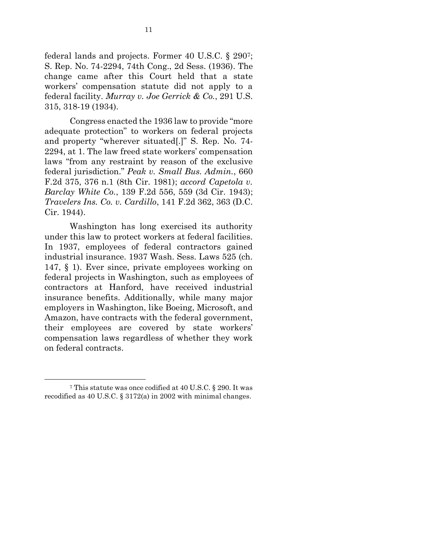federal lands and projects. Former 40 U.S.C. § 2907; S. Rep. No. 74-2294, 74th Cong., 2d Sess. (1936). The change came after this Court held that a state workers' compensation statute did not apply to a federal facility. *Murray v. Joe Gerrick & Co.*, 291 U.S. 315, 318-19 (1934).

Congress enacted the 1936 law to provide "more adequate protection" to workers on federal projects and property "wherever situated[.]" S. Rep. No. 74- 2294, at 1. The law freed state workers' compensation laws "from any restraint by reason of the exclusive federal jurisdiction." *Peak v. Small Bus. Admin.*, 660 F.2d 375, 376 n.1 (8th Cir. 1981); *accord Capetola v. Barclay White Co.*, 139 F.2d 556, 559 (3d Cir. 1943); *Travelers Ins. Co. v. Cardillo*, 141 F.2d 362, 363 (D.C. Cir. 1944).

Washington has long exercised its authority under this law to protect workers at federal facilities. In 1937, employees of federal contractors gained industrial insurance. 1937 Wash. Sess. Laws 525 (ch. 147, § 1). Ever since, private employees working on federal projects in Washington, such as employees of contractors at Hanford, have received industrial insurance benefits. Additionally, while many major employers in Washington, like Boeing, Microsoft, and Amazon, have contracts with the federal government, their employees are covered by state workers' compensation laws regardless of whether they work on federal contracts.

1

<sup>7</sup> This statute was once codified at 40 U.S.C. § 290. It was recodified as 40 U.S.C. § 3172(a) in 2002 with minimal changes.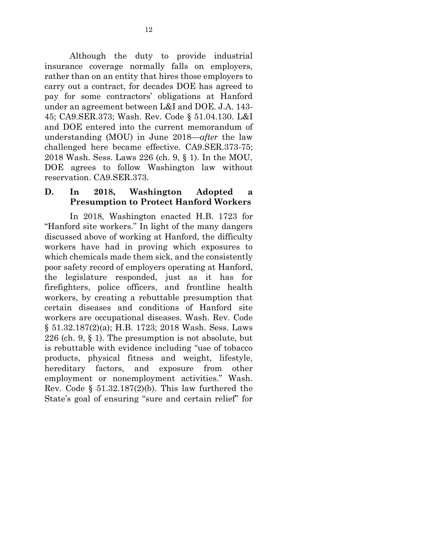Although the duty to provide industrial insurance coverage normally falls on employers, rather than on an entity that hires those employers to carry out a contract, for decades DOE has agreed to pay for some contractors' obligations at Hanford under an agreement between L&I and DOE. J.A. 143- 45; CA9.SER.373; Wash. Rev. Code § 51.04.130. L&I and DOE entered into the current memorandum of understanding (MOU) in June 2018—*after* the law challenged here became effective. CA9.SER.373-75; 2018 Wash. Sess. Laws 226 (ch. 9, § 1). In the MOU, DOE agrees to follow Washington law without reservation. CA9.SER.373.

## **D. In 2018, Washington Adopted a Presumption to Protect Hanford Workers**

In 2018, Washington enacted H.B. 1723 for "Hanford site workers." In light of the many dangers discussed above of working at Hanford, the difficulty workers have had in proving which exposures to which chemicals made them sick, and the consistently poor safety record of employers operating at Hanford, the legislature responded, just as it has for firefighters, police officers, and frontline health workers, by creating a rebuttable presumption that certain diseases and conditions of Hanford site workers are occupational diseases. Wash. Rev. Code § 51.32.187(2)(a); H.B. 1723; 2018 Wash. Sess. Laws 226 (ch. 9, § 1). The presumption is not absolute, but is rebuttable with evidence including "use of tobacco products, physical fitness and weight, lifestyle, hereditary factors, and exposure from other employment or nonemployment activities." Wash. Rev. Code  $\S$  51.32.187(2)(b). This law furthered the State's goal of ensuring "sure and certain relief" for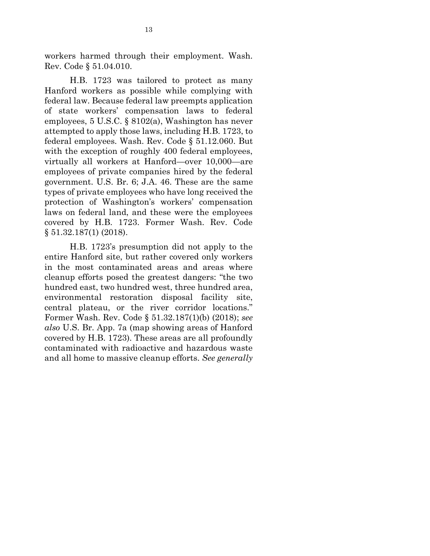workers harmed through their employment. Wash. Rev. Code § 51.04.010.

H.B. 1723 was tailored to protect as many Hanford workers as possible while complying with federal law. Because federal law preempts application of state workers' compensation laws to federal employees, 5 U.S.C. § 8102(a), Washington has never attempted to apply those laws, including H.B. 1723, to federal employees. Wash. Rev. Code § 51.12.060. But with the exception of roughly 400 federal employees, virtually all workers at Hanford—over 10,000—are employees of private companies hired by the federal government. U.S. Br. 6; J.A. 46. These are the same types of private employees who have long received the protection of Washington's workers' compensation laws on federal land, and these were the employees covered by H.B. 1723. Former Wash. Rev. Code § 51.32.187(1) (2018).

H.B. 1723's presumption did not apply to the entire Hanford site, but rather covered only workers in the most contaminated areas and areas where cleanup efforts posed the greatest dangers: "the two hundred east, two hundred west, three hundred area, environmental restoration disposal facility site, central plateau, or the river corridor locations." Former Wash. Rev. Code § 51.32.187(1)(b) (2018); *see also* U.S. Br. App. 7a (map showing areas of Hanford covered by H.B. 1723). These areas are all profoundly contaminated with radioactive and hazardous waste and all home to massive cleanup efforts. *See generally*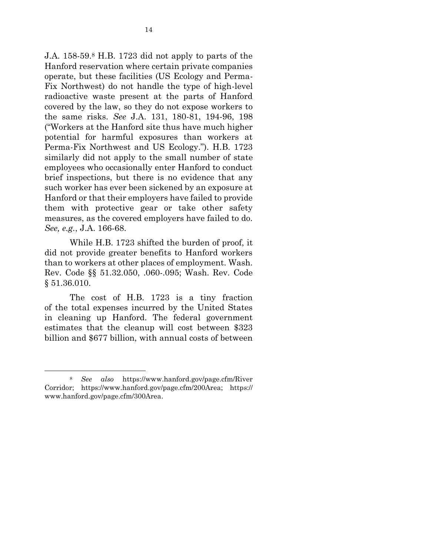J.A. 158-59.<sup>8</sup> H.B. 1723 did not apply to parts of the Hanford reservation where certain private companies operate, but these facilities (US Ecology and Perma-Fix Northwest) do not handle the type of high-level radioactive waste present at the parts of Hanford covered by the law, so they do not expose workers to the same risks. *See* J.A. 131, 180-81, 194-96, 198 ("Workers at the Hanford site thus have much higher potential for harmful exposures than workers at Perma-Fix Northwest and US Ecology."). H.B. 1723 similarly did not apply to the small number of state employees who occasionally enter Hanford to conduct brief inspections, but there is no evidence that any such worker has ever been sickened by an exposure at Hanford or that their employers have failed to provide them with protective gear or take other safety measures, as the covered employers have failed to do. *See, e.g.*, J.A. 166-68.

While H.B. 1723 shifted the burden of proof, it did not provide greater benefits to Hanford workers than to workers at other places of employment. Wash. Rev. Code §§ 51.32.050, .060-.095; Wash. Rev. Code § 51.36.010.

The cost of H.B. 1723 is a tiny fraction of the total expenses incurred by the United States in cleaning up Hanford. The federal government estimates that the cleanup will cost between \$323 billion and \$677 billion, with annual costs of between

1

<sup>8</sup> *See also* https://www.hanford.gov/page.cfm/River Corridor; https://www.hanford.gov/page.cfm/200Area; https:// www.hanford.gov/page.cfm/300Area.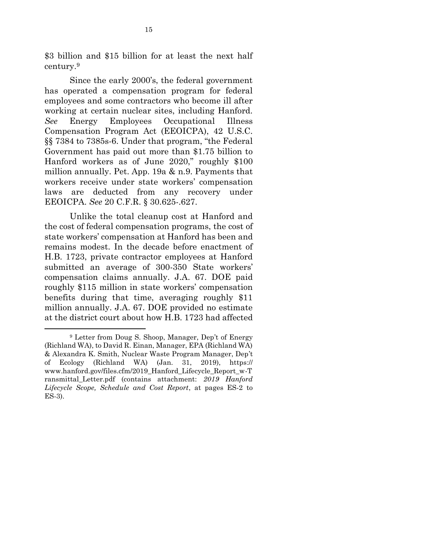\$3 billion and \$15 billion for at least the next half century.<sup>9</sup>

Since the early 2000's, the federal government has operated a compensation program for federal employees and some contractors who become ill after working at certain nuclear sites, including Hanford. *See* Energy Employees Occupational Illness Compensation Program Act (EEOICPA), 42 U.S.C. §§ 7384 to 7385s-6. Under that program, "the Federal Government has paid out more than \$1.75 billion to Hanford workers as of June 2020," roughly \$100 million annually. Pet. App. 19a & n.9. Payments that workers receive under state workers' compensation laws are deducted from any recovery under EEOICPA. *See* 20 C.F.R. § 30.625-.627.

Unlike the total cleanup cost at Hanford and the cost of federal compensation programs, the cost of state workers' compensation at Hanford has been and remains modest. In the decade before enactment of H.B. 1723, private contractor employees at Hanford submitted an average of 300-350 State workers' compensation claims annually. J.A. 67. DOE paid roughly \$115 million in state workers' compensation benefits during that time, averaging roughly \$11 million annually. J.A. 67. DOE provided no estimate at the district court about how H.B. 1723 had affected

 $\overline{a}$ 

<sup>9</sup> Letter from Doug S. Shoop, Manager, Dep't of Energy (Richland WA), to David R. Einan, Manager, EPA (Richland WA) & Alexandra K. Smith, Nuclear Waste Program Manager, Dep't of Ecology (Richland WA) (Jan. 31, 2019), https:// www.hanford.gov/files.cfm/2019\_Hanford\_Lifecycle\_Report\_w-T ransmittal\_Letter.pdf (contains attachment: *2019 Hanford Lifecycle Scope, Schedule and Cost Report*, at pages ES-2 to ES-3).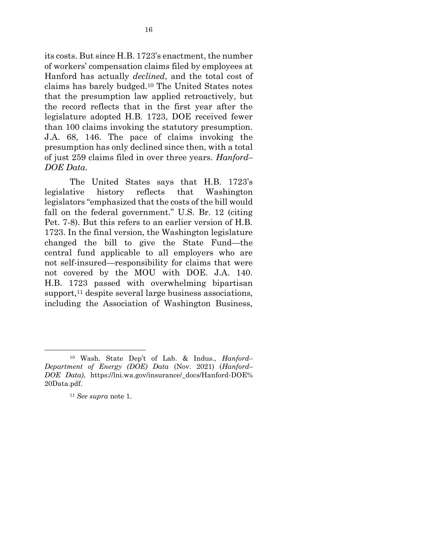its costs. But since H.B. 1723's enactment, the number of workers' compensation claims filed by employees at Hanford has actually *declined*, and the total cost of claims has barely budged.<sup>10</sup> The United States notes that the presumption law applied retroactively, but the record reflects that in the first year after the legislature adopted H.B. 1723, DOE received fewer than 100 claims invoking the statutory presumption. J.A. 68, 146. The pace of claims invoking the presumption has only declined since then, with a total of just 259 claims filed in over three years. *Hanford– DOE Data*.

The United States says that H.B. 1723's legislative history reflects that Washington legislators "emphasized that the costs of the bill would fall on the federal government." U.S. Br. 12 (citing Pet. 7-8). But this refers to an earlier version of H.B. 1723. In the final version, the Washington legislature changed the bill to give the State Fund—the central fund applicable to all employers who are not self-insured—responsibility for claims that were not covered by the MOU with DOE. J.A. 140. H.B. 1723 passed with overwhelming bipartisan support, $11$  despite several large business associations, including the Association of Washington Business,

1

<sup>10</sup> Wash. State Dep't of Lab. & Indus., *Hanford– Department of Energy (DOE) Data* (Nov. 2021) (*Hanford– DOE Data)*, https://lni.wa.gov/insurance/\_docs/Hanford-DOE% 20Data.pdf.

<sup>11</sup> *See supra* note 1.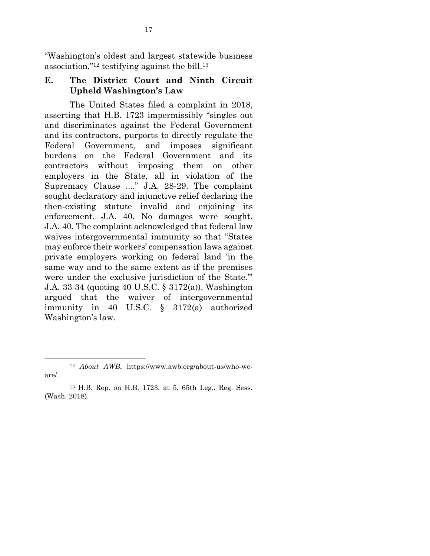"Washington's oldest and largest statewide business association,"<sup>12</sup> testifying against the bill.<sup>13</sup>

#### **E. The District Court and Ninth Circuit Upheld Washington's Law**

The United States filed a complaint in 2018, asserting that H.B. 1723 impermissibly "singles out and discriminates against the Federal Government and its contractors, purports to directly regulate the Federal Government, and imposes significant burdens on the Federal Government and its contractors without imposing them on other employers in the State, all in violation of the Supremacy Clause ...." J.A. 28-29. The complaint sought declaratory and injunctive relief declaring the then-existing statute invalid and enjoining its enforcement. J.A. 40. No damages were sought. J.A. 40. The complaint acknowledged that federal law waives intergovernmental immunity so that "States may enforce their workers' compensation laws against private employers working on federal land 'in the same way and to the same extent as if the premises were under the exclusive jurisdiction of the State.'" J.A. 33-34 (quoting 40 U.S.C. § 3172(a)). Washington argued that the waiver of intergovernmental immunity in 40 U.S.C. § 3172(a) authorized Washington's law.

1

<sup>12</sup> *About AWB*, https://www.awb.org/about-us/who-weare/.

<sup>13</sup> H.B. Rep. on H.B. 1723, at 5, 65th Leg., Reg. Sess. (Wash. 2018).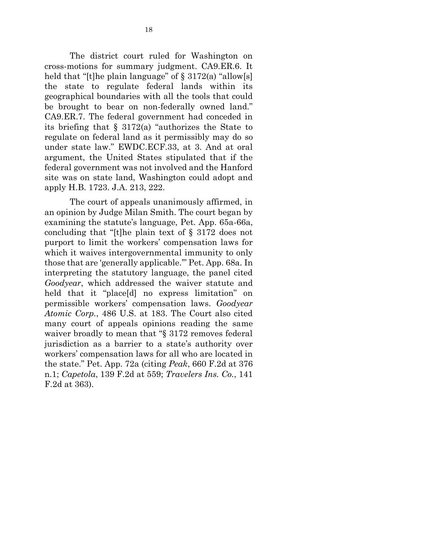The district court ruled for Washington on cross-motions for summary judgment. CA9.ER.6. It held that "[t]he plain language" of  $\S$  3172(a) "allow[s] the state to regulate federal lands within its geographical boundaries with all the tools that could be brought to bear on non-federally owned land." CA9.ER.7. The federal government had conceded in its briefing that § 3172(a) "authorizes the State to regulate on federal land as it permissibly may do so under state law." EWDC.ECF.33, at 3. And at oral argument, the United States stipulated that if the federal government was not involved and the Hanford site was on state land, Washington could adopt and apply H.B. 1723. J.A. 213, 222.

The court of appeals unanimously affirmed, in an opinion by Judge Milan Smith. The court began by examining the statute's language, Pet. App. 65a-66a, concluding that "[t]he plain text of § 3172 does not purport to limit the workers' compensation laws for which it waives intergovernmental immunity to only those that are 'generally applicable.'" Pet. App. 68a. In interpreting the statutory language, the panel cited *Goodyear*, which addressed the waiver statute and held that it "place[d] no express limitation" on permissible workers' compensation laws. *Goodyear Atomic Corp.*, 486 U.S. at 183. The Court also cited many court of appeals opinions reading the same waiver broadly to mean that "§ 3172 removes federal jurisdiction as a barrier to a state's authority over workers' compensation laws for all who are located in the state." Pet. App. 72a (citing *Peak*, 660 F.2d at 376 n.1; *Capetola*, 139 F.2d at 559; *Travelers Ins. Co.*, 141 F.2d at 363).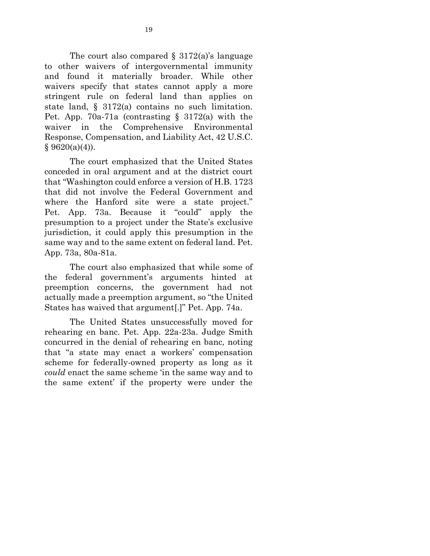The court also compared  $\S$  3172(a)'s language to other waivers of intergovernmental immunity and found it materially broader. While other waivers specify that states cannot apply a more stringent rule on federal land than applies on state land, § 3172(a) contains no such limitation. Pet. App. 70a-71a (contrasting § 3172(a) with the waiver in the Comprehensive Environmental Response, Compensation, and Liability Act, 42 U.S.C.  $§ 9620(a)(4)).$ 

The court emphasized that the United States conceded in oral argument and at the district court that "Washington could enforce a version of H.B. 1723 that did not involve the Federal Government and where the Hanford site were a state project." Pet. App. 73a. Because it "could" apply the presumption to a project under the State's exclusive jurisdiction, it could apply this presumption in the same way and to the same extent on federal land. Pet. App. 73a, 80a-81a.

The court also emphasized that while some of the federal government's arguments hinted at preemption concerns, the government had not actually made a preemption argument, so "the United States has waived that argument[.]" Pet. App. 74a.

The United States unsuccessfully moved for rehearing en banc. Pet. App. 22a-23a. Judge Smith concurred in the denial of rehearing en banc, noting that "a state may enact a workers' compensation scheme for federally-owned property as long as it *could* enact the same scheme 'in the same way and to the same extent' if the property were under the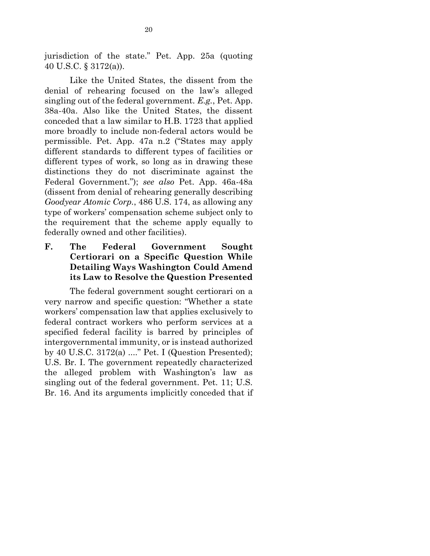jurisdiction of the state." Pet. App. 25a (quoting 40 U.S.C. § 3172(a)).

Like the United States, the dissent from the denial of rehearing focused on the law's alleged singling out of the federal government. *E.g.*, Pet. App. 38a-40a. Also like the United States, the dissent conceded that a law similar to H.B. 1723 that applied more broadly to include non-federal actors would be permissible. Pet. App. 47a n.2 ("States may apply different standards to different types of facilities or different types of work, so long as in drawing these distinctions they do not discriminate against the Federal Government."); *see also* Pet. App. 46a-48a (dissent from denial of rehearing generally describing *Goodyear Atomic Corp.*, 486 U.S. 174, as allowing any type of workers' compensation scheme subject only to the requirement that the scheme apply equally to federally owned and other facilities).

**F. The Federal Government Sought Certiorari on a Specific Question While Detailing Ways Washington Could Amend its Law to Resolve the Question Presented**

The federal government sought certiorari on a very narrow and specific question: "Whether a state workers' compensation law that applies exclusively to federal contract workers who perform services at a specified federal facility is barred by principles of intergovernmental immunity, or is instead authorized by 40 U.S.C. 3172(a) ...." Pet. I (Question Presented); U.S. Br. I. The government repeatedly characterized the alleged problem with Washington's law as singling out of the federal government. Pet. 11; U.S. Br. 16. And its arguments implicitly conceded that if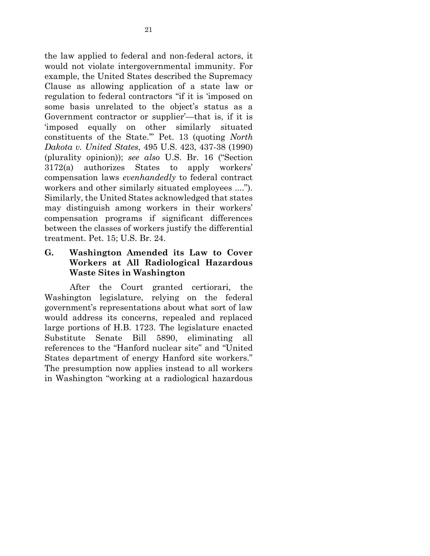the law applied to federal and non-federal actors, it would not violate intergovernmental immunity. For example, the United States described the Supremacy Clause as allowing application of a state law or regulation to federal contractors "if it is 'imposed on some basis unrelated to the object's status as a Government contractor or supplier'—that is, if it is 'imposed equally on other similarly situated constituents of the State.'" Pet. 13 (quoting *North Dakota v. United States*, 495 U.S. 423, 437-38 (1990) (plurality opinion)); *see also* U.S. Br. 16 ("Section 3172(a) authorizes States to apply workers' compensation laws *evenhandedly* to federal contract workers and other similarly situated employees ...."). Similarly, the United States acknowledged that states may distinguish among workers in their workers' compensation programs if significant differences between the classes of workers justify the differential treatment. Pet. 15; U.S. Br. 24.

**G. Washington Amended its Law to Cover Workers at All Radiological Hazardous Waste Sites in Washington**

After the Court granted certiorari, the Washington legislature, relying on the federal government's representations about what sort of law would address its concerns, repealed and replaced large portions of H.B. 1723. The legislature enacted Substitute Senate Bill 5890, eliminating all references to the "Hanford nuclear site" and "United States department of energy Hanford site workers." The presumption now applies instead to all workers in Washington "working at a radiological hazardous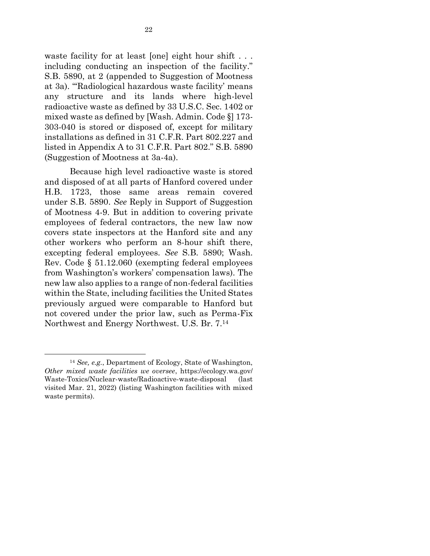waste facility for at least [one] eight hour shift . . . including conducting an inspection of the facility." S.B. 5890, at 2 (appended to Suggestion of Mootness at 3a). "'Radiological hazardous waste facility' means any structure and its lands where high-level radioactive waste as defined by 33 U.S.C. Sec. 1402 or mixed waste as defined by [Wash. Admin. Code §] 173- 303-040 is stored or disposed of, except for military installations as defined in 31 C.F.R. Part 802.227 and listed in Appendix A to 31 C.F.R. Part 802." S.B. 5890 (Suggestion of Mootness at 3a-4a).

Because high level radioactive waste is stored and disposed of at all parts of Hanford covered under H.B. 1723, those same areas remain covered under S.B. 5890. *See* Reply in Support of Suggestion of Mootness 4-9. But in addition to covering private employees of federal contractors, the new law now covers state inspectors at the Hanford site and any other workers who perform an 8-hour shift there, excepting federal employees. *See* S.B. 5890; Wash. Rev. Code § 51.12.060 (exempting federal employees from Washington's workers' compensation laws). The new law also applies to a range of non-federal facilities within the State, including facilities the United States previously argued were comparable to Hanford but not covered under the prior law, such as Perma-Fix Northwest and Energy Northwest. U.S. Br. 7.<sup>14</sup>

1

<sup>14</sup> *See, e.g.*, Department of Ecology, State of Washington, *Other mixed waste facilities we oversee*, https://ecology.wa.gov/ Waste-Toxics/Nuclear-waste/Radioactive-waste-disposal (last visited Mar. 21, 2022) (listing Washington facilities with mixed waste permits).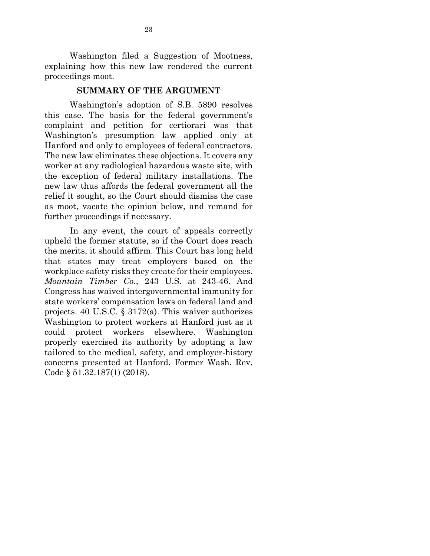Washington filed a Suggestion of Mootness, explaining how this new law rendered the current proceedings moot.

#### **SUMMARY OF THE ARGUMENT**

Washington's adoption of S.B. 5890 resolves this case. The basis for the federal government's complaint and petition for certiorari was that Washington's presumption law applied only at Hanford and only to employees of federal contractors. The new law eliminates these objections. It covers any worker at any radiological hazardous waste site, with the exception of federal military installations. The new law thus affords the federal government all the relief it sought, so the Court should dismiss the case as moot, vacate the opinion below, and remand for further proceedings if necessary.

In any event, the court of appeals correctly upheld the former statute, so if the Court does reach the merits, it should affirm. This Court has long held that states may treat employers based on the workplace safety risks they create for their employees. *Mountain Timber Co.*, 243 U.S. at 243-46. And Congress has waived intergovernmental immunity for state workers' compensation laws on federal land and projects. 40 U.S.C. § 3172(a). This waiver authorizes Washington to protect workers at Hanford just as it could protect workers elsewhere. Washington properly exercised its authority by adopting a law tailored to the medical, safety, and employer-history concerns presented at Hanford. Former Wash. Rev. Code § 51.32.187(1) (2018).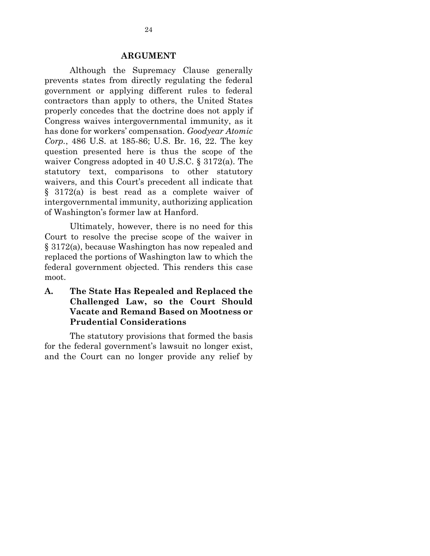#### **ARGUMENT**

Although the Supremacy Clause generally prevents states from directly regulating the federal government or applying different rules to federal contractors than apply to others, the United States properly concedes that the doctrine does not apply if Congress waives intergovernmental immunity, as it has done for workers' compensation. *Goodyear Atomic Corp.*, 486 U.S. at 185-86; U.S. Br. 16, 22. The key question presented here is thus the scope of the waiver Congress adopted in 40 U.S.C. § 3172(a). The statutory text, comparisons to other statutory waivers, and this Court's precedent all indicate that § 3172(a) is best read as a complete waiver of intergovernmental immunity, authorizing application of Washington's former law at Hanford.

Ultimately, however, there is no need for this Court to resolve the precise scope of the waiver in § 3172(a), because Washington has now repealed and replaced the portions of Washington law to which the federal government objected. This renders this case moot.

**A. The State Has Repealed and Replaced the Challenged Law, so the Court Should Vacate and Remand Based on Mootness or Prudential Considerations**

The statutory provisions that formed the basis for the federal government's lawsuit no longer exist, and the Court can no longer provide any relief by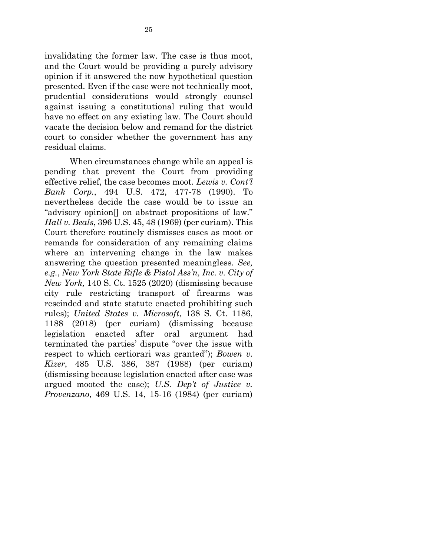invalidating the former law. The case is thus moot, and the Court would be providing a purely advisory opinion if it answered the now hypothetical question presented. Even if the case were not technically moot, prudential considerations would strongly counsel against issuing a constitutional ruling that would have no effect on any existing law. The Court should vacate the decision below and remand for the district court to consider whether the government has any residual claims.

When circumstances change while an appeal is pending that prevent the Court from providing effective relief, the case becomes moot. *Lewis v. Cont'l Bank Corp.*, 494 U.S. 472, 477-78 (1990). To nevertheless decide the case would be to issue an "advisory opinion[] on abstract propositions of law." *Hall v. Beals*, 396 U.S. 45, 48 (1969) (per curiam). This Court therefore routinely dismisses cases as moot or remands for consideration of any remaining claims where an intervening change in the law makes answering the question presented meaningless. *See, e.g.*, *New York State Rifle & Pistol Ass'n, Inc. v. City of New York,* 140 S. Ct. 1525 (2020) (dismissing because city rule restricting transport of firearms was rescinded and state statute enacted prohibiting such rules); *United States v. Microsoft*, 138 S. Ct. 1186, 1188 (2018) (per curiam) (dismissing because legislation enacted after oral argument had terminated the parties' dispute "over the issue with respect to which certiorari was granted"); *Bowen v. Kizer*, 485 U.S. 386, 387 (1988) (per curiam) (dismissing because legislation enacted after case was argued mooted the case); *U.S. Dep't of Justice v. Provenzano*, 469 U.S. 14, 15-16 (1984) (per curiam)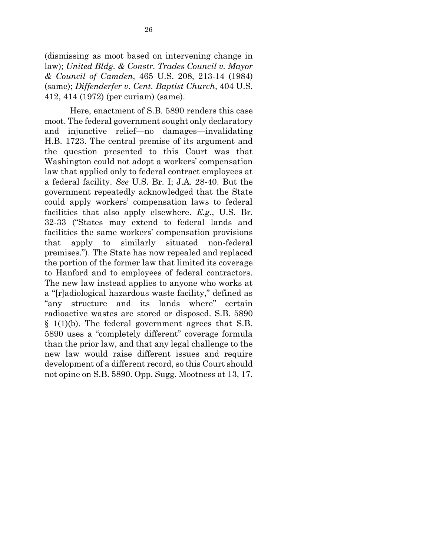(dismissing as moot based on intervening change in law); *United Bldg. & Constr. Trades Council v. Mayor & Council of Camden*, 465 U.S. 208, 213-14 (1984) (same); *Diffenderfer v. Cent. Baptist Church*, 404 U.S. 412, 414 (1972) (per curiam) (same).

Here, enactment of S.B. 5890 renders this case moot. The federal government sought only declaratory and injunctive relief—no damages—invalidating H.B. 1723. The central premise of its argument and the question presented to this Court was that Washington could not adopt a workers' compensation law that applied only to federal contract employees at a federal facility. *See* U.S. Br. I; J.A. 28-40. But the government repeatedly acknowledged that the State could apply workers' compensation laws to federal facilities that also apply elsewhere. *E.g.*, U.S. Br. 32-33 ("States may extend to federal lands and facilities the same workers' compensation provisions that apply to similarly situated non-federal premises."). The State has now repealed and replaced the portion of the former law that limited its coverage to Hanford and to employees of federal contractors. The new law instead applies to anyone who works at a "[r]adiological hazardous waste facility," defined as "any structure and its lands where" certain radioactive wastes are stored or disposed. S.B. 5890 § 1(1)(b). The federal government agrees that S.B. 5890 uses a "completely different" coverage formula than the prior law, and that any legal challenge to the new law would raise different issues and require development of a different record, so this Court should not opine on S.B. 5890. Opp. Sugg. Mootness at 13, 17.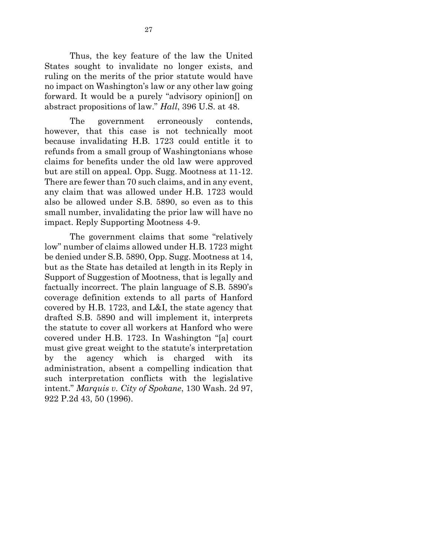Thus, the key feature of the law the United States sought to invalidate no longer exists, and ruling on the merits of the prior statute would have no impact on Washington's law or any other law going forward. It would be a purely "advisory opinion[] on abstract propositions of law." *Hall*, 396 U.S. at 48.

The government erroneously contends, however, that this case is not technically moot because invalidating H.B. 1723 could entitle it to refunds from a small group of Washingtonians whose claims for benefits under the old law were approved but are still on appeal. Opp. Sugg. Mootness at 11-12. There are fewer than 70 such claims, and in any event, any claim that was allowed under H.B. 1723 would also be allowed under S.B. 5890, so even as to this small number, invalidating the prior law will have no impact. Reply Supporting Mootness 4-9.

The government claims that some "relatively low" number of claims allowed under H.B. 1723 might be denied under S.B. 5890, Opp. Sugg. Mootness at 14, but as the State has detailed at length in its Reply in Support of Suggestion of Mootness, that is legally and factually incorrect. The plain language of S.B. 5890's coverage definition extends to all parts of Hanford covered by H.B. 1723, and L&I, the state agency that drafted S.B. 5890 and will implement it, interprets the statute to cover all workers at Hanford who were covered under H.B. 1723. In Washington "[a] court must give great weight to the statute's interpretation by the agency which is charged with its administration, absent a compelling indication that such interpretation conflicts with the legislative intent." *Marquis v. City of Spokane*, 130 Wash. 2d 97, 922 P.2d 43, 50 (1996).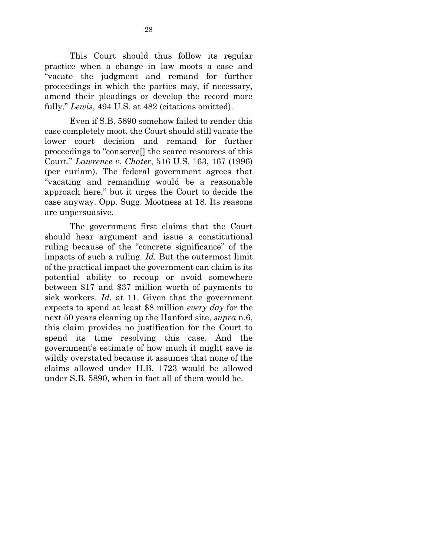This Court should thus follow its regular practice when a change in law moots a case and "vacate the judgment and remand for further proceedings in which the parties may, if necessary, amend their pleadings or develop the record more fully." *Lewis*, 494 U.S. at 482 (citations omitted).

Even if S.B. 5890 somehow failed to render this case completely moot, the Court should still vacate the lower court decision and remand for further proceedings to "conserve[] the scarce resources of this Court." *Lawrence v. Chater*, 516 U.S. 163, 167 (1996) (per curiam). The federal government agrees that "vacating and remanding would be a reasonable approach here," but it urges the Court to decide the case anyway. Opp. Sugg. Mootness at 18. Its reasons are unpersuasive.

The government first claims that the Court should hear argument and issue a constitutional ruling because of the "concrete significance" of the impacts of such a ruling. *Id.* But the outermost limit of the practical impact the government can claim is its potential ability to recoup or avoid somewhere between \$17 and \$37 million worth of payments to sick workers. *Id.* at 11. Given that the government expects to spend at least \$8 million *every day* for the next 50 years cleaning up the Hanford site, *supra* n.6, this claim provides no justification for the Court to spend its time resolving this case. And the government's estimate of how much it might save is wildly overstated because it assumes that none of the claims allowed under H.B. 1723 would be allowed under S.B. 5890, when in fact all of them would be.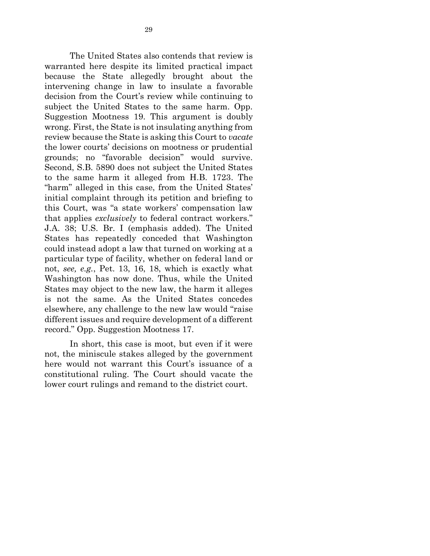The United States also contends that review is warranted here despite its limited practical impact because the State allegedly brought about the intervening change in law to insulate a favorable decision from the Court's review while continuing to subject the United States to the same harm. Opp. Suggestion Mootness 19. This argument is doubly wrong. First, the State is not insulating anything from review because the State is asking this Court to *vacate* the lower courts' decisions on mootness or prudential grounds; no "favorable decision" would survive. Second, S.B. 5890 does not subject the United States to the same harm it alleged from H.B. 1723. The "harm" alleged in this case, from the United States' initial complaint through its petition and briefing to this Court, was "a state workers' compensation law that applies *exclusively* to federal contract workers." J.A. 38; U.S. Br. I (emphasis added). The United States has repeatedly conceded that Washington could instead adopt a law that turned on working at a particular type of facility, whether on federal land or not, *see, e.g.*, Pet. 13, 16, 18, which is exactly what Washington has now done. Thus, while the United States may object to the new law, the harm it alleges is not the same. As the United States concedes elsewhere, any challenge to the new law would "raise different issues and require development of a different record." Opp. Suggestion Mootness 17.

In short, this case is moot, but even if it were not, the miniscule stakes alleged by the government here would not warrant this Court's issuance of a constitutional ruling. The Court should vacate the lower court rulings and remand to the district court.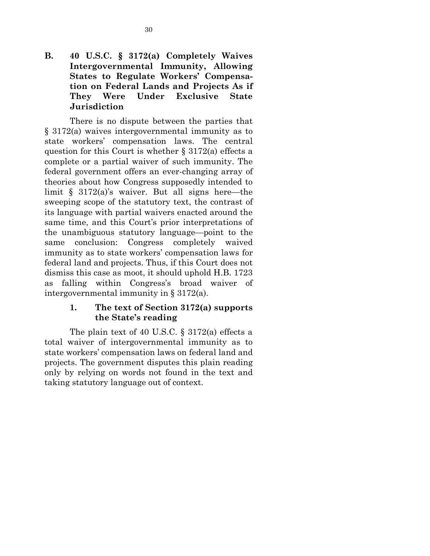# **B. 40 U.S.C. § 3172(a) Completely Waives Intergovernmental Immunity, Allowing States to Regulate Workers' Compensation on Federal Lands and Projects As if They Were Under Exclusive State Jurisdiction**

There is no dispute between the parties that § 3172(a) waives intergovernmental immunity as to state workers' compensation laws. The central question for this Court is whether  $\S 3172(a)$  effects a complete or a partial waiver of such immunity. The federal government offers an ever-changing array of theories about how Congress supposedly intended to limit § 3172(a)'s waiver. But all signs here—the sweeping scope of the statutory text, the contrast of its language with partial waivers enacted around the same time, and this Court's prior interpretations of the unambiguous statutory language—point to the same conclusion: Congress completely waived immunity as to state workers' compensation laws for federal land and projects. Thus, if this Court does not dismiss this case as moot, it should uphold H.B. 1723 as falling within Congress's broad waiver of intergovernmental immunity in § 3172(a).

# **1. The text of Section 3172(a) supports the State's reading**

The plain text of 40 U.S.C. § 3172(a) effects a total waiver of intergovernmental immunity as to state workers' compensation laws on federal land and projects. The government disputes this plain reading only by relying on words not found in the text and taking statutory language out of context.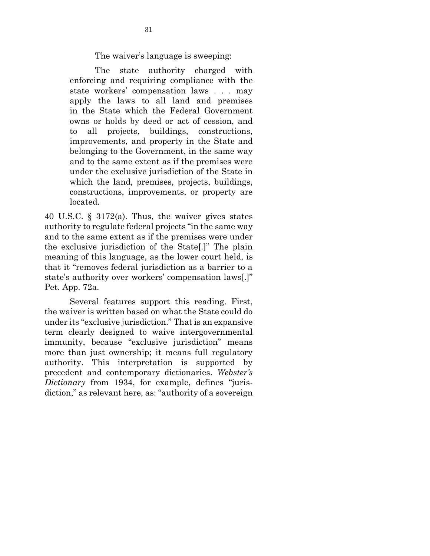The waiver's language is sweeping:

The state authority charged with enforcing and requiring compliance with the state workers' compensation laws . . . may apply the laws to all land and premises in the State which the Federal Government owns or holds by deed or act of cession, and to all projects, buildings, constructions, improvements, and property in the State and belonging to the Government, in the same way and to the same extent as if the premises were under the exclusive jurisdiction of the State in which the land, premises, projects, buildings, constructions, improvements, or property are located.

40 U.S.C. § 3172(a). Thus, the waiver gives states authority to regulate federal projects "in the same way and to the same extent as if the premises were under the exclusive jurisdiction of the State[.]" The plain meaning of this language, as the lower court held, is that it "removes federal jurisdiction as a barrier to a state's authority over workers' compensation laws[.]" Pet. App. 72a.

Several features support this reading. First, the waiver is written based on what the State could do under its "exclusive jurisdiction." That is an expansive term clearly designed to waive intergovernmental immunity, because "exclusive jurisdiction" means more than just ownership; it means full regulatory authority. This interpretation is supported by precedent and contemporary dictionaries. *Webster's Dictionary* from 1934, for example, defines "jurisdiction," as relevant here, as: "authority of a sovereign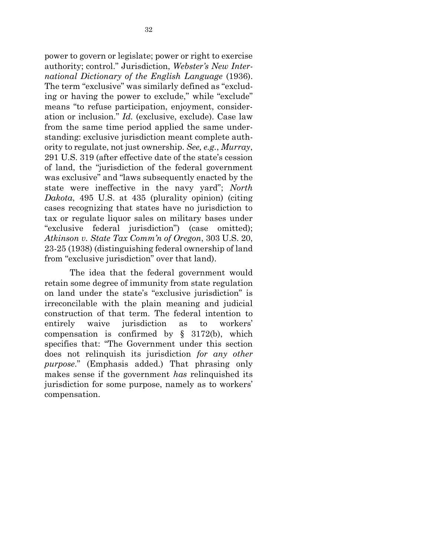power to govern or legislate; power or right to exercise authority; control." Jurisdiction, *Webster's New International Dictionary of the English Language* (1936). The term "exclusive" was similarly defined as "excluding or having the power to exclude," while "exclude" means "to refuse participation, enjoyment, consideration or inclusion." *Id.* (exclusive, exclude). Case law from the same time period applied the same understanding: exclusive jurisdiction meant complete authority to regulate, not just ownership. *See, e.g.*, *Murray*, 291 U.S. 319 (after effective date of the state's cession of land, the "jurisdiction of the federal government was exclusive" and "laws subsequently enacted by the state were ineffective in the navy yard"; *North Dakota*, 495 U.S. at 435 (plurality opinion) (citing cases recognizing that states have no jurisdiction to tax or regulate liquor sales on military bases under "exclusive federal jurisdiction") (case omitted); *Atkinson v. State Tax Comm'n of Oregon*, 303 U.S. 20, 23-25 (1938) (distinguishing federal ownership of land from "exclusive jurisdiction" over that land).

The idea that the federal government would retain some degree of immunity from state regulation on land under the state's "exclusive jurisdiction" is irreconcilable with the plain meaning and judicial construction of that term. The federal intention to entirely waive jurisdiction as to workers' compensation is confirmed by § 3172(b), which specifies that: "The Government under this section does not relinquish its jurisdiction *for any other purpose*." (Emphasis added.) That phrasing only makes sense if the government *has* relinquished its jurisdiction for some purpose, namely as to workers' compensation.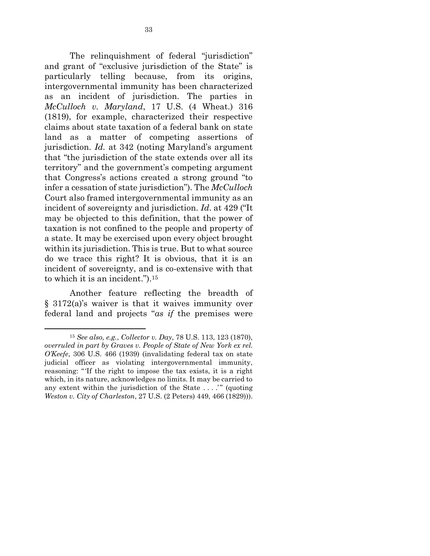The relinquishment of federal "jurisdiction" and grant of "exclusive jurisdiction of the State" is particularly telling because, from its origins, intergovernmental immunity has been characterized as an incident of jurisdiction. The parties in *McCulloch v. Maryland*, 17 U.S. (4 Wheat.) 316 (1819), for example, characterized their respective claims about state taxation of a federal bank on state land as a matter of competing assertions of jurisdiction. *Id.* at 342 (noting Maryland's argument that "the jurisdiction of the state extends over all its territory" and the government's competing argument that Congress's actions created a strong ground "to infer a cessation of state jurisdiction"). The *McCulloch* Court also framed intergovernmental immunity as an incident of sovereignty and jurisdiction. *Id*. at 429 ("It may be objected to this definition, that the power of taxation is not confined to the people and property of a state. It may be exercised upon every object brought within its jurisdiction. This is true. But to what source do we trace this right? It is obvious, that it is an incident of sovereignty, and is co-extensive with that to which it is an incident.").<sup>15</sup>

Another feature reflecting the breadth of § 3172(a)'s waiver is that it waives immunity over federal land and projects "*as if* the premises were

 $\overline{a}$ 

<sup>15</sup> *See also, e.g.*, *Collector v. Day*, 78 U.S. 113, 123 (1870), *overruled in part by Graves v. People of State of New York ex rel. O'Keefe*, 306 U.S. 466 (1939) (invalidating federal tax on state judicial officer as violating intergovernmental immunity, reasoning: "'If the right to impose the tax exists, it is a right which, in its nature, acknowledges no limits. It may be carried to any extent within the jurisdiction of the State . . . .'" (quoting *Weston v. City of Charleston*, 27 U.S. (2 Peters) 449, 466 (1829))).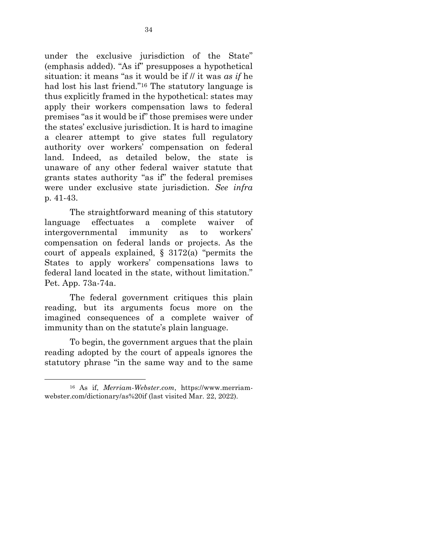under the exclusive jurisdiction of the State" (emphasis added). "As if" presupposes a hypothetical situation: it means "as it would be if // it was *as if* he had lost his last friend."<sup>16</sup> The statutory language is thus explicitly framed in the hypothetical: states may apply their workers compensation laws to federal premises "as it would be if" those premises were under the states' exclusive jurisdiction. It is hard to imagine a clearer attempt to give states full regulatory authority over workers' compensation on federal land. Indeed, as detailed below, the state is unaware of any other federal waiver statute that grants states authority "as if" the federal premises were under exclusive state jurisdiction. *See infra* p. 41-43.

The straightforward meaning of this statutory language effectuates a complete waiver of intergovernmental immunity as to workers' compensation on federal lands or projects. As the court of appeals explained,  $\S$  3172(a) "permits the States to apply workers' compensations laws to federal land located in the state, without limitation." Pet. App. 73a-74a.

The federal government critiques this plain reading, but its arguments focus more on the imagined consequences of a complete waiver of immunity than on the statute's plain language.

To begin, the government argues that the plain reading adopted by the court of appeals ignores the statutory phrase "in the same way and to the same

1

<sup>16</sup> As if, *Merriam-Webster.com*, https://www.merriamwebster.com/dictionary/as%20if (last visited Mar. 22, 2022).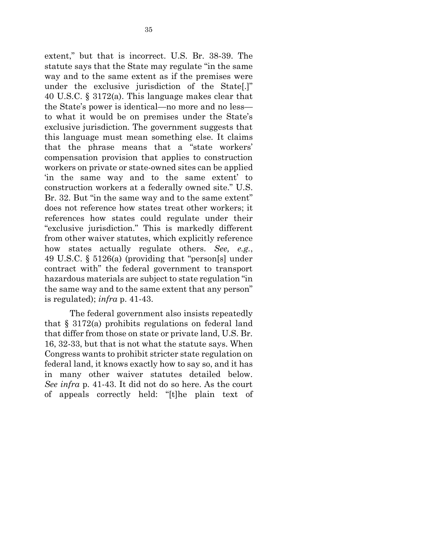extent," but that is incorrect. U.S. Br. 38-39. The statute says that the State may regulate "in the same way and to the same extent as if the premises were under the exclusive jurisdiction of the State[.]" 40 U.S.C. § 3172(a). This language makes clear that the State's power is identical—no more and no less to what it would be on premises under the State's exclusive jurisdiction. The government suggests that this language must mean something else. It claims that the phrase means that a "state workers' compensation provision that applies to construction workers on private or state-owned sites can be applied 'in the same way and to the same extent' to construction workers at a federally owned site." U.S. Br. 32. But "in the same way and to the same extent" does not reference how states treat other workers; it references how states could regulate under their "exclusive jurisdiction." This is markedly different from other waiver statutes, which explicitly reference how states actually regulate others. *See, e.g.*, 49 U.S.C. § 5126(a) (providing that "person[s] under contract with" the federal government to transport hazardous materials are subject to state regulation "in the same way and to the same extent that any person" is regulated); *infra* p. 41-43.

The federal government also insists repeatedly that § 3172(a) prohibits regulations on federal land that differ from those on state or private land, U.S. Br. 16, 32-33, but that is not what the statute says. When Congress wants to prohibit stricter state regulation on federal land, it knows exactly how to say so, and it has in many other waiver statutes detailed below. *See infra* p. 41-43. It did not do so here. As the court of appeals correctly held: "[t]he plain text of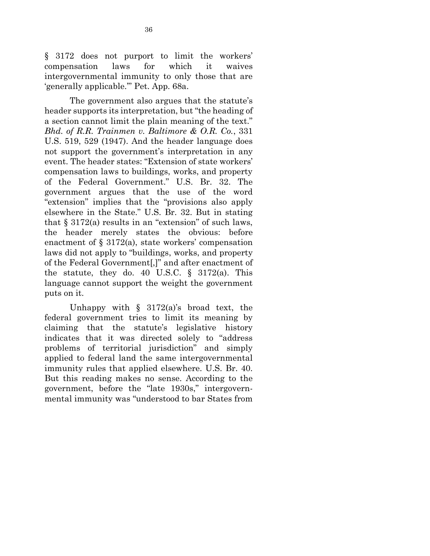§ 3172 does not purport to limit the workers' compensation laws for which it waives intergovernmental immunity to only those that are 'generally applicable.'" Pet. App. 68a.

The government also argues that the statute's header supports its interpretation, but "the heading of a section cannot limit the plain meaning of the text." *Bhd. of R.R. Trainmen v. Baltimore & O.R. Co.*, 331 U.S. 519, 529 (1947). And the header language does not support the government's interpretation in any event. The header states: "Extension of state workers' compensation laws to buildings, works, and property of the Federal Government." U.S. Br. 32. The government argues that the use of the word "extension" implies that the "provisions also apply elsewhere in the State." U.S. Br. 32. But in stating that  $\S 3172(a)$  results in an "extension" of such laws, the header merely states the obvious: before enactment of  $\S 3172(a)$ , state workers' compensation laws did not apply to "buildings, works, and property of the Federal Government[,]" and after enactment of the statute, they do. 40 U.S.C.  $\S$  3172(a). This language cannot support the weight the government puts on it.

Unhappy with  $\S$  3172(a)'s broad text, the federal government tries to limit its meaning by claiming that the statute's legislative history indicates that it was directed solely to "address problems of territorial jurisdiction" and simply applied to federal land the same intergovernmental immunity rules that applied elsewhere. U.S. Br. 40. But this reading makes no sense. According to the government, before the "late 1930s," intergovernmental immunity was "understood to bar States from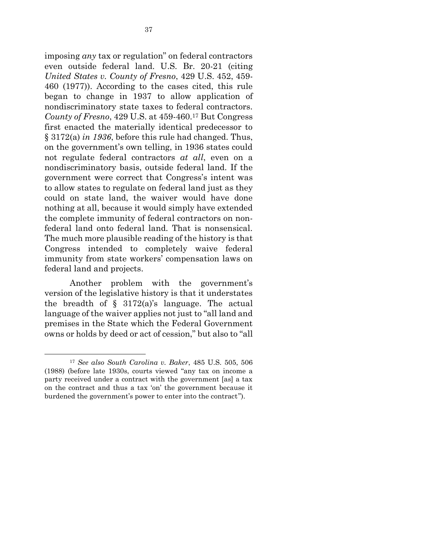imposing *any* tax or regulation" on federal contractors even outside federal land. U.S. Br. 20-21 (citing *United States v. County of Fresno*, 429 U.S. 452, 459- 460 (1977)). According to the cases cited, this rule began to change in 1937 to allow application of nondiscriminatory state taxes to federal contractors. *County of Fresno*, 429 U.S. at 459-460.<sup>17</sup> But Congress first enacted the materially identical predecessor to § 3172(a) *in 1936*, before this rule had changed. Thus, on the government's own telling, in 1936 states could not regulate federal contractors *at all*, even on a nondiscriminatory basis, outside federal land. If the government were correct that Congress's intent was to allow states to regulate on federal land just as they could on state land, the waiver would have done nothing at all, because it would simply have extended the complete immunity of federal contractors on nonfederal land onto federal land. That is nonsensical. The much more plausible reading of the history is that Congress intended to completely waive federal immunity from state workers' compensation laws on federal land and projects.

Another problem with the government's version of the legislative history is that it understates the breadth of  $\S$  3172(a)'s language. The actual language of the waiver applies not just to "all land and premises in the State which the Federal Government owns or holds by deed or act of cession," but also to "all

1

<sup>17</sup> *See also [South Carolina v. Baker](http://www.westlaw.com/Link/Document/FullText?findType=Y&serNum=1988050555&pubNum=708&originatingDoc=I234cfbe89c1e11d9bdd1cfdd544ca3a4&refType=RP&fi=co_pp_sp_708_1364&originationContext=document&vr=3.0&rs=cblt1.0&transitionType=DocumentItem&contextData=(sc.UserEnteredCitation)#co_pp_sp_708_1364)*, 485 U.S. 505, 506 [\(1988\)](http://www.westlaw.com/Link/Document/FullText?findType=Y&serNum=1988050555&pubNum=708&originatingDoc=I234cfbe89c1e11d9bdd1cfdd544ca3a4&refType=RP&fi=co_pp_sp_708_1364&originationContext=document&vr=3.0&rs=cblt1.0&transitionType=DocumentItem&contextData=(sc.UserEnteredCitation)#co_pp_sp_708_1364) (before late 1930s, courts viewed "any tax on income a party received under a contract with the government [as] a tax on the contract and thus a tax 'on' the government because it burdened the government's power to enter into the contract").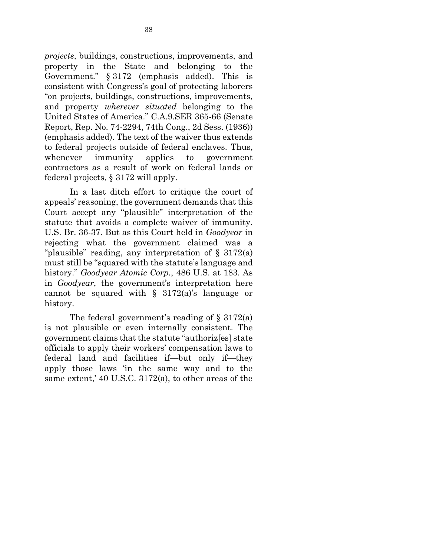*projects*, buildings, constructions, improvements, and property in the State and belonging to the Government." § 3172 (emphasis added). This is consistent with Congress's goal of protecting laborers "on projects, buildings, constructions, improvements, and property *wherever situated* belonging to the United States of America." C.A.9.SER 365-66 (Senate Report, Rep. No. 74-2294, 74th Cong., 2d Sess. (1936)) (emphasis added). The text of the waiver thus extends to federal projects outside of federal enclaves. Thus, whenever immunity applies to government contractors as a result of work on federal lands or federal projects, § 3172 will apply.

In a last ditch effort to critique the court of appeals' reasoning, the government demands that this Court accept any "plausible" interpretation of the statute that avoids a complete waiver of immunity. U.S. Br. 36-37. But as this Court held in *Goodyear* in rejecting what the government claimed was a "plausible" reading, any interpretation of  $\S$  3172(a) must still be "squared with the statute's language and history." *Goodyear Atomic Corp.*, 486 U.S. at 183. As in *Goodyear*, the government's interpretation here cannot be squared with  $\S$  3172(a)'s language or history.

The federal government's reading of § 3172(a) is not plausible or even internally consistent. The government claims that the statute "authoriz[es] state officials to apply their workers' compensation laws to federal land and facilities if—but only if—they apply those laws 'in the same way and to the same extent,' 40 U.S.C. 3172(a), to other areas of the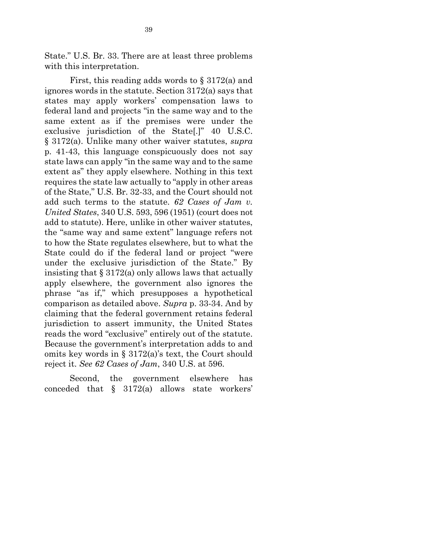State." U.S. Br. 33. There are at least three problems with this interpretation.

First, this reading adds words to § 3172(a) and ignores words in the statute. Section 3172(a) says that states may apply workers' compensation laws to federal land and projects "in the same way and to the same extent as if the premises were under the exclusive jurisdiction of the State[.]" 40 U.S.C. § 3172(a). Unlike many other waiver statutes, *supra* p. 41-43, this language conspicuously does not say state laws can apply "in the same way and to the same extent as" they apply elsewhere. Nothing in this text requires the state law actually to "apply in other areas of the State," U.S. Br. 32-33, and the Court should not add such terms to the statute. *62 Cases of Jam v. United States*, 340 U.S. 593, 596 (1951) (court does not add to statute). Here, unlike in other waiver statutes, the "same way and same extent" language refers not to how the State regulates elsewhere, but to what the State could do if the federal land or project "were under the exclusive jurisdiction of the State." By insisting that  $\S 3172(a)$  only allows laws that actually apply elsewhere, the government also ignores the phrase "as if," which presupposes a hypothetical comparison as detailed above. *Supra* p. 33-34. And by claiming that the federal government retains federal jurisdiction to assert immunity, the United States reads the word "exclusive" entirely out of the statute. Because the government's interpretation adds to and omits key words in § 3172(a)'s text, the Court should reject it. *See 62 Cases of Jam*, 340 U.S. at 596.

Second, the government elsewhere has conceded that § 3172(a) allows state workers'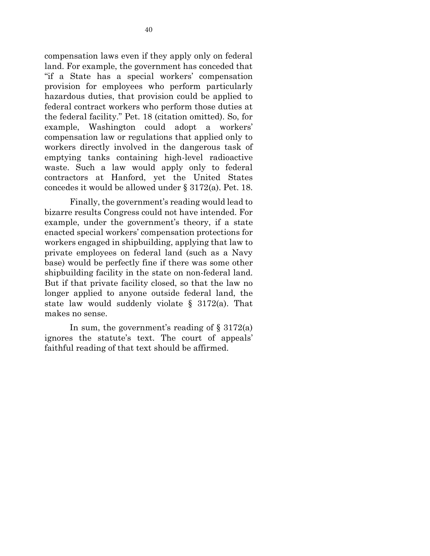compensation laws even if they apply only on federal land. For example, the government has conceded that "if a State has a special workers' compensation provision for employees who perform particularly hazardous duties, that provision could be applied to federal contract workers who perform those duties at the federal facility." Pet. 18 (citation omitted). So, for example, Washington could adopt a workers' compensation law or regulations that applied only to workers directly involved in the dangerous task of emptying tanks containing high-level radioactive waste. Such a law would apply only to federal contractors at Hanford, yet the United States concedes it would be allowed under § 3172(a). Pet. 18.

Finally, the government's reading would lead to bizarre results Congress could not have intended. For example, under the government's theory, if a state enacted special workers' compensation protections for workers engaged in shipbuilding, applying that law to private employees on federal land (such as a Navy base) would be perfectly fine if there was some other shipbuilding facility in the state on non-federal land. But if that private facility closed, so that the law no longer applied to anyone outside federal land, the state law would suddenly violate § 3172(a). That makes no sense.

In sum, the government's reading of  $\S 3172(a)$ ignores the statute's text. The court of appeals' faithful reading of that text should be affirmed.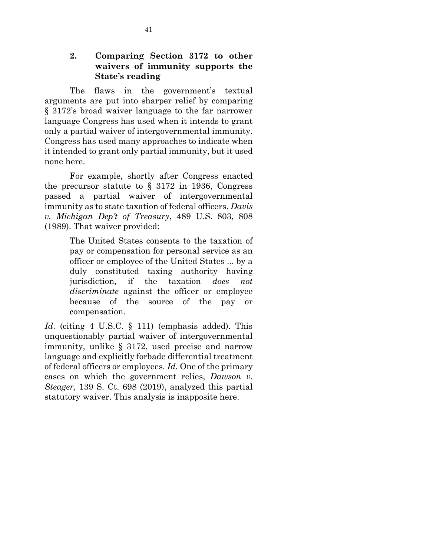#### **2. Comparing Section 3172 to other waivers of immunity supports the State's reading**

The flaws in the government's textual arguments are put into sharper relief by comparing § 3172's broad waiver language to the far narrower language Congress has used when it intends to grant only a partial waiver of intergovernmental immunity. Congress has used many approaches to indicate when it intended to grant only partial immunity, but it used none here.

For example, shortly after Congress enacted the precursor statute to  $\S$  3172 in 1936, Congress passed a partial waiver of intergovernmental immunity as to state taxation of federal officers. *Davis v. Michigan Dep't of Treasury*, 489 U.S. 803, 808 (1989). That waiver provided:

> The United States consents to the taxation of pay or compensation for personal service as an officer or employee of the United States ... by a duly constituted taxing authority having jurisdiction, if the taxation *does not discriminate* against the officer or employee because of the source of the pay or compensation.

*Id.* (citing 4 U.S.C. § 111) (emphasis added). This unquestionably partial waiver of intergovernmental immunity, unlike § 3172, used precise and narrow language and explicitly forbade differential treatment of federal officers or employees. *Id.* One of the primary cases on which the government relies, *Dawson v. Steager*, 139 S. Ct. 698 (2019), analyzed this partial statutory waiver. This analysis is inapposite here.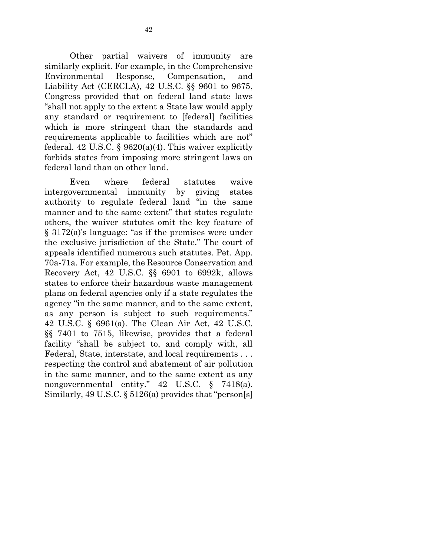Other partial waivers of immunity are similarly explicit. For example, in the Comprehensive Environmental Response, Compensation, and Liability Act (CERCLA), 42 U.S.C. §§ 9601 to 9675, Congress provided that on federal land state laws "shall not apply to the extent a State law would apply any standard or requirement to [federal] facilities which is more stringent than the standards and requirements applicable to facilities which are not" federal. 42 U.S.C. §  $9620(a)(4)$ . This waiver explicitly forbids states from imposing more stringent laws on federal land than on other land.

Even where federal statutes waive intergovernmental immunity by giving states authority to regulate federal land "in the same manner and to the same extent" that states regulate others, the waiver statutes omit the key feature of § 3172(a)'s language: "as if the premises were under the exclusive jurisdiction of the State." The court of appeals identified numerous such statutes. Pet. App. 70a-71a. For example, the Resource Conservation and Recovery Act, 42 U.S.C. §§ 6901 to 6992k, allows states to enforce their hazardous waste management plans on federal agencies only if a state regulates the agency "in the same manner, and to the same extent, as any person is subject to such requirements." 42 U.S.C. § 6961(a). The Clean Air Act, 42 U.S.C. §§ 7401 to 7515, likewise, provides that a federal facility "shall be subject to, and comply with, all Federal, State, interstate, and local requirements . . . respecting the control and abatement of air pollution in the same manner, and to the same extent as any nongovernmental entity." 42 U.S.C. § 7418(a). Similarly, 49 U.S.C. § 5126(a) provides that "person[s]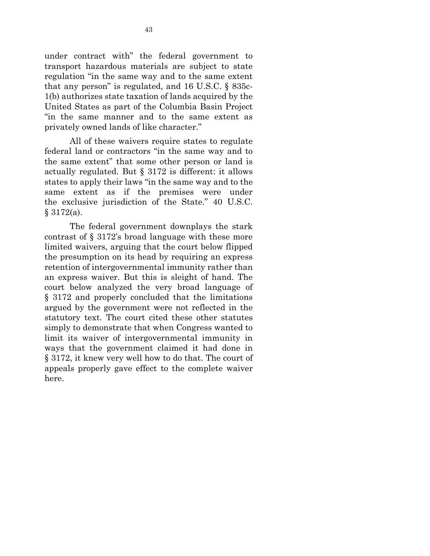under contract with" the federal government to transport hazardous materials are subject to state regulation "in the same way and to the same extent that any person" is regulated, and 16 U.S.C. § 835c-1(b) authorizes state taxation of lands acquired by the United States as part of the Columbia Basin Project "in the same manner and to the same extent as privately owned lands of like character."

All of these waivers require states to regulate federal land or contractors "in the same way and to the same extent" that some other person or land is actually regulated. But § 3172 is different: it allows states to apply their laws "in the same way and to the same extent as if the premises were under the exclusive jurisdiction of the State." 40 U.S.C. § 3172(a).

The federal government downplays the stark contrast of § 3172's broad language with these more limited waivers, arguing that the court below flipped the presumption on its head by requiring an express retention of intergovernmental immunity rather than an express waiver. But this is sleight of hand. The court below analyzed the very broad language of § 3172 and properly concluded that the limitations argued by the government were not reflected in the statutory text. The court cited these other statutes simply to demonstrate that when Congress wanted to limit its waiver of intergovernmental immunity in ways that the government claimed it had done in § 3172, it knew very well how to do that. The court of appeals properly gave effect to the complete waiver here.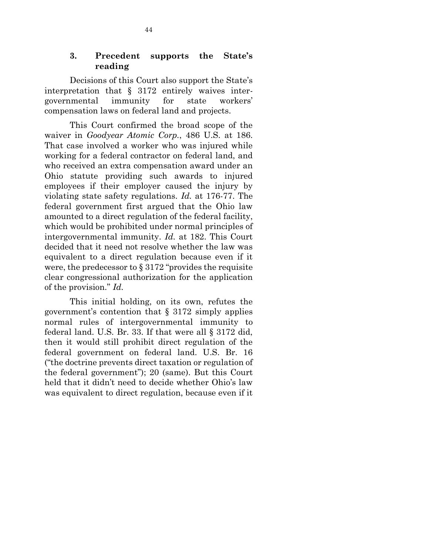#### **3. Precedent supports the State's reading**

Decisions of this Court also support the State's interpretation that  $\S$  3172 entirely waives intergovernmental immunity for state workers' compensation laws on federal land and projects.

This Court confirmed the broad scope of the waiver in *Goodyear Atomic Corp.*, 486 U.S. at 186. That case involved a worker who was injured while working for a federal contractor on federal land, and who received an extra compensation award under an Ohio statute providing such awards to injured employees if their employer caused the injury by violating state safety regulations. *Id.* at 176-77. The federal government first argued that the Ohio law amounted to a direct regulation of the federal facility, which would be prohibited under normal principles of intergovernmental immunity. *Id.* at 182. This Court decided that it need not resolve whether the law was equivalent to a direct regulation because even if it were, the predecessor to  $\S 3172$  "provides the requisite clear congressional authorization for the application of the provision." *Id.*

This initial holding, on its own, refutes the government's contention that § 3172 simply applies normal rules of intergovernmental immunity to federal land. U.S. Br. 33. If that were all § 3172 did, then it would still prohibit direct regulation of the federal government on federal land. U.S. Br. 16 ("the doctrine prevents direct taxation or regulation of the federal government"); 20 (same). But this Court held that it didn't need to decide whether Ohio's law was equivalent to direct regulation, because even if it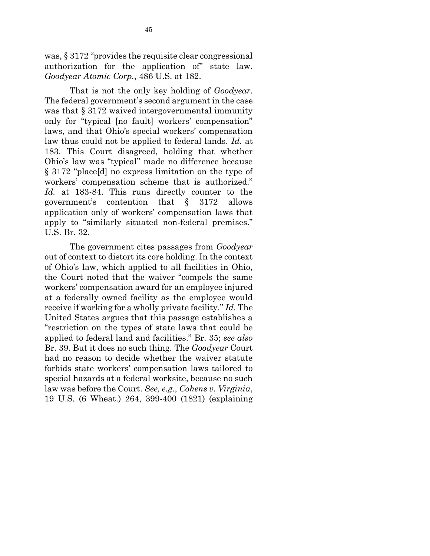was, § 3172 "provides the requisite clear congressional authorization for the application of" state law. *Goodyear Atomic Corp.*, 486 U.S. at 182.

That is not the only key holding of *Goodyear*. The federal government's second argument in the case was that  $§$  3172 waived intergovernmental immunity only for "typical [no fault] workers' compensation" laws, and that Ohio's special workers' compensation law thus could not be applied to federal lands. *Id.* at 183. This Court disagreed, holding that whether Ohio's law was "typical" made no difference because § 3172 "place[d] no express limitation on the type of workers' compensation scheme that is authorized." *Id.* at 183-84. This runs directly counter to the government's contention that § 3172 allows application only of workers' compensation laws that apply to "similarly situated non-federal premises." U.S. Br. 32.

The government cites passages from *Goodyear* out of context to distort its core holding. In the context of Ohio's law, which applied to all facilities in Ohio, the Court noted that the waiver "compels the same workers' compensation award for an employee injured at a federally owned facility as the employee would receive if working for a wholly private facility." *Id.* The United States argues that this passage establishes a "restriction on the types of state laws that could be applied to federal land and facilities." Br. 35; *see also*  Br. 39. But it does no such thing. The *Goodyear* Court had no reason to decide whether the waiver statute forbids state workers' compensation laws tailored to special hazards at a federal worksite, because no such law was before the Court. *See, e.g.*, *Cohens v. Virginia*, 19 U.S. (6 Wheat.) 264, 399-400 (1821) (explaining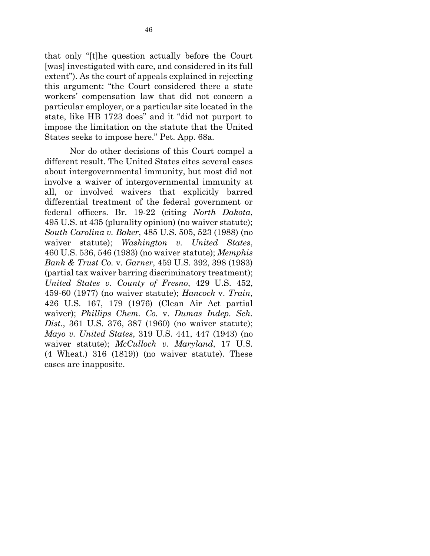that only "[t]he question actually before the Court [was] investigated with care, and considered in its full extent"). As the court of appeals explained in rejecting this argument: "the Court considered there a state workers' compensation law that did not concern a particular employer, or a particular site located in the state, like HB 1723 does" and it "did not purport to impose the limitation on the statute that the United States seeks to impose here." Pet. App. 68a.

Nor do other decisions of this Court compel a different result. The United States cites several cases about intergovernmental immunity, but most did not involve a waiver of intergovernmental immunity at all, or involved waivers that explicitly barred differential treatment of the federal government or federal officers. Br. 19-22 (citing *North Dakota*, 495 U.S. at 435 (plurality opinion) (no waiver statute); *South Carolina v. Baker*, 485 U.S. 505, 523 (1988) (no waiver statute); *Washington v. United States*, 460 U.S. 536, 546 (1983) (no waiver statute); *Memphis Bank & Trust Co.* v. *Garner*, 459 U.S. 392, 398 (1983) (partial tax waiver barring discriminatory treatment); *United States v. County of Fresno*, 429 U.S. 452, 459-60 (1977) (no waiver statute); *Hancock* v. *Train*, 426 U.S. 167, 179 (1976) (Clean Air Act partial waiver); *Phillips Chem. Co.* v. *Dumas Indep. Sch. Dist.*, 361 U.S. 376, 387 (1960) (no waiver statute); *Mayo v. United States*, 319 U.S. 441, 447 (1943) (no waiver statute); *McCulloch v. Maryland*, 17 U.S. (4 Wheat.) 316 (1819)) (no waiver statute). These cases are inapposite.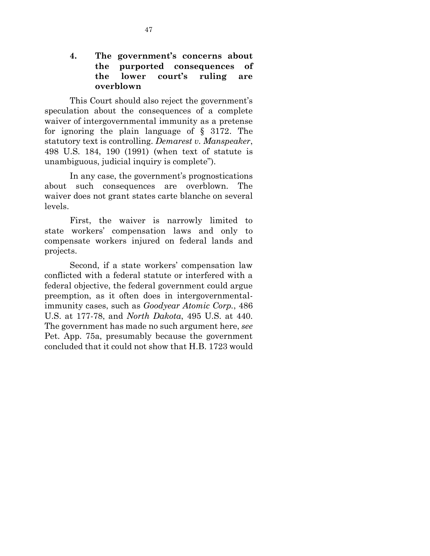#### **4. The government's concerns about the purported consequences of the lower court's ruling are overblown**

This Court should also reject the government's speculation about the consequences of a complete waiver of intergovernmental immunity as a pretense for ignoring the plain language of § 3172. The statutory text is controlling. *Demarest v. Manspeaker*, 498 U.S. 184, 190 (1991) (when text of statute is unambiguous, judicial inquiry is complete").

In any case, the government's prognostications about such consequences are overblown. The waiver does not grant states carte blanche on several levels.

First, the waiver is narrowly limited to state workers' compensation laws and only to compensate workers injured on federal lands and projects.

Second, if a state workers' compensation law conflicted with a federal statute or interfered with a federal objective, the federal government could argue preemption, as it often does in intergovernmentalimmunity cases, such as *Goodyear Atomic Corp.*, 486 U.S. at 177-78, and *North Dakota*, 495 U.S. at 440. The government has made no such argument here, *see* Pet. App. 75a, presumably because the government concluded that it could not show that H.B. 1723 would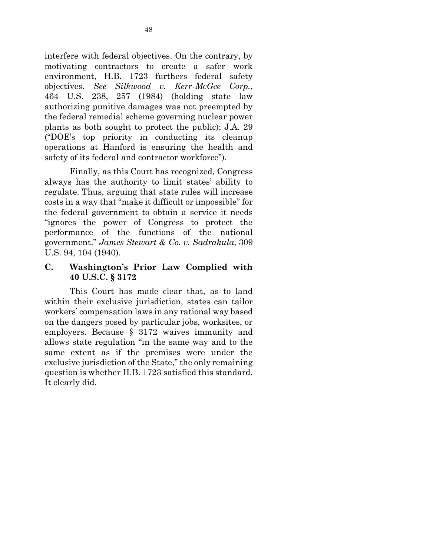interfere with federal objectives. On the contrary, by motivating contractors to create a safer work environment, H.B. 1723 furthers federal safety objectives. *See Silkwood v. Kerr-McGee Corp.*, 464 U.S. 238, 257 (1984) (holding state law authorizing punitive damages was not preempted by the federal remedial scheme governing nuclear power plants as both sought to protect the public); J.A. 29 ("DOE's top priority in conducting its cleanup operations at Hanford is ensuring the health and safety of its federal and contractor workforce").

Finally, as this Court has recognized, Congress always has the authority to limit states' ability to regulate. Thus, arguing that state rules will increase costs in a way that "make it difficult or impossible" for the federal government to obtain a service it needs "ignores the power of Congress to protect the performance of the functions of the national government." *James Stewart & Co. v. Sadrakula*, 309 U.S. 94, 104 (1940).

**C. Washington's Prior Law Complied with 40 U.S.C. § 3172**

This Court has made clear that, as to land within their exclusive jurisdiction, states can tailor workers' compensation laws in any rational way based on the dangers posed by particular jobs, worksites, or employers. Because § 3172 waives immunity and allows state regulation "in the same way and to the same extent as if the premises were under the exclusive jurisdiction of the State," the only remaining question is whether H.B. 1723 satisfied this standard. It clearly did.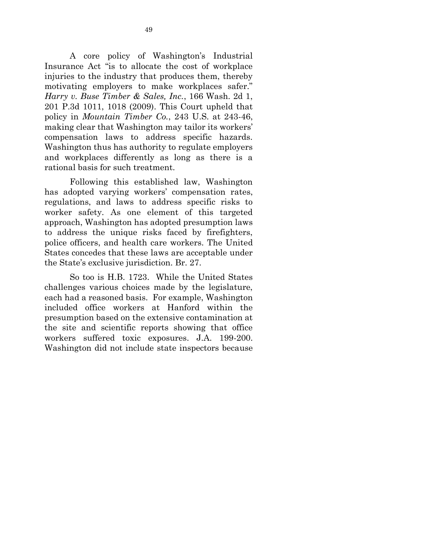A core policy of Washington's Industrial Insurance Act "is to allocate the cost of workplace injuries to the industry that produces them, thereby motivating employers to make workplaces safer." *Harry v. Buse Timber & Sales, Inc.*, 166 Wash. 2d 1, 201 P.3d 1011, 1018 (2009). This Court upheld that policy in *Mountain Timber Co.*, 243 U.S. at 243-46, making clear that Washington may tailor its workers' compensation laws to address specific hazards. Washington thus has authority to regulate employers and workplaces differently as long as there is a rational basis for such treatment.

Following this established law, Washington has adopted varying workers' compensation rates, regulations, and laws to address specific risks to worker safety. As one element of this targeted approach, Washington has adopted presumption laws to address the unique risks faced by firefighters, police officers, and health care workers. The United States concedes that these laws are acceptable under the State's exclusive jurisdiction. Br. 27.

So too is H.B. 1723. While the United States challenges various choices made by the legislature, each had a reasoned basis. For example, Washington included office workers at Hanford within the presumption based on the extensive contamination at the site and scientific reports showing that office workers suffered toxic exposures. J.A. 199-200. Washington did not include state inspectors because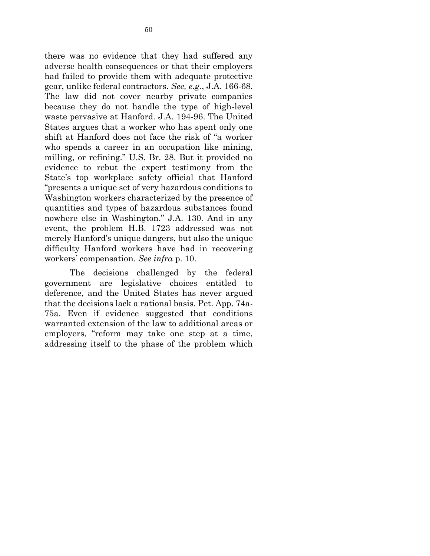there was no evidence that they had suffered any adverse health consequences or that their employers had failed to provide them with adequate protective gear, unlike federal contractors. *See, e.g.*, J.A. 166-68. The law did not cover nearby private companies because they do not handle the type of high-level waste pervasive at Hanford. J.A. 194-96. The United States argues that a worker who has spent only one shift at Hanford does not face the risk of "a worker who spends a career in an occupation like mining, milling, or refining." U.S. Br. 28. But it provided no evidence to rebut the expert testimony from the State's top workplace safety official that Hanford "presents a unique set of very hazardous conditions to Washington workers characterized by the presence of quantities and types of hazardous substances found nowhere else in Washington." J.A. 130. And in any event, the problem H.B. 1723 addressed was not merely Hanford's unique dangers, but also the unique difficulty Hanford workers have had in recovering workers' compensation. *See infra* p. 10.

The decisions challenged by the federal government are legislative choices entitled to deference, and the United States has never argued that the decisions lack a rational basis. Pet. App. 74a-75a. Even if evidence suggested that conditions warranted extension of the law to additional areas or employers, "reform may take one step at a time, addressing itself to the phase of the problem which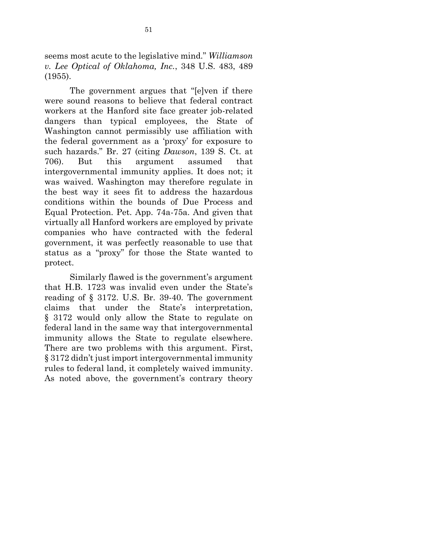seems most acute to the legislative mind." *Williamson v. Lee Optical of Oklahoma, Inc.*, 348 U.S. 483, 489 (1955).

The government argues that "[e]ven if there were sound reasons to believe that federal contract workers at the Hanford site face greater job-related dangers than typical employees, the State of Washington cannot permissibly use affiliation with the federal government as a 'proxy' for exposure to such hazards." Br. 27 (citing *Dawson*, 139 S. Ct. at 706). But this argument assumed that intergovernmental immunity applies. It does not; it was waived. Washington may therefore regulate in the best way it sees fit to address the hazardous conditions within the bounds of Due Process and Equal Protection. Pet. App. 74a-75a. And given that virtually all Hanford workers are employed by private companies who have contracted with the federal government, it was perfectly reasonable to use that status as a "proxy" for those the State wanted to protect.

Similarly flawed is the government's argument that H.B. 1723 was invalid even under the State's reading of § 3172. U.S. Br. 39-40. The government claims that under the State's interpretation, § 3172 would only allow the State to regulate on federal land in the same way that intergovernmental immunity allows the State to regulate elsewhere. There are two problems with this argument. First, § 3172 didn't just import intergovernmental immunity rules to federal land, it completely waived immunity. As noted above, the government's contrary theory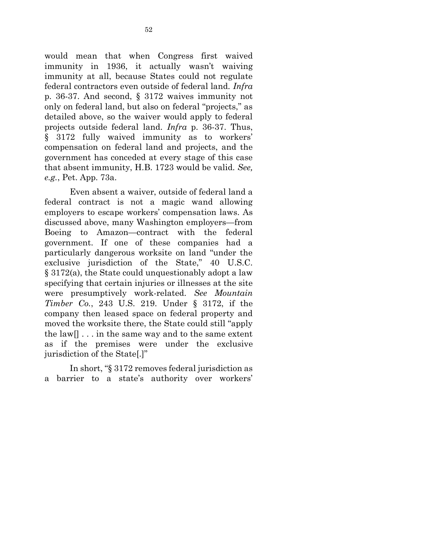would mean that when Congress first waived immunity in 1936, it actually wasn't waiving immunity at all, because States could not regulate federal contractors even outside of federal land. *Infra* p. 36-37. And second, § 3172 waives immunity not only on federal land, but also on federal "projects," as detailed above, so the waiver would apply to federal projects outside federal land. *Infra* p. 36-37. Thus, § 3172 fully waived immunity as to workers' compensation on federal land and projects, and the government has conceded at every stage of this case that absent immunity, H.B. 1723 would be valid. *See, e.g.*, Pet. App. 73a.

Even absent a waiver, outside of federal land a federal contract is not a magic wand allowing employers to escape workers' compensation laws. As discussed above, many Washington employers—from Boeing to Amazon—contract with the federal government. If one of these companies had a particularly dangerous worksite on land "under the exclusive jurisdiction of the State," 40 U.S.C. § 3172(a), the State could unquestionably adopt a law specifying that certain injuries or illnesses at the site were presumptively work-related. *See Mountain Timber Co.*, 243 U.S. 219. Under § 3172, if the company then leased space on federal property and moved the worksite there, the State could still "apply the law  $\left[ \ldots \right]$  in the same way and to the same extent as if the premises were under the exclusive jurisdiction of the State[.]"

In short, "§ 3172 removes federal jurisdiction as a barrier to a state's authority over workers'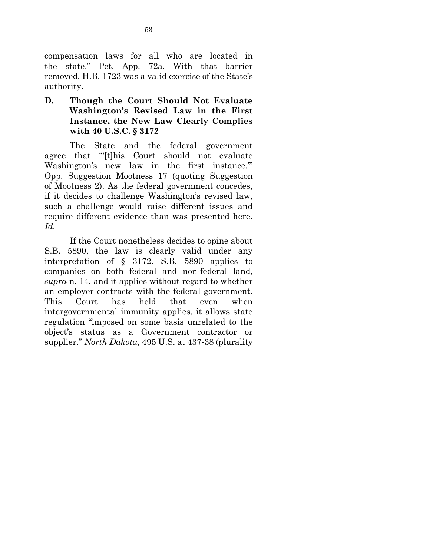compensation laws for all who are located in the state." Pet. App. 72a. With that barrier removed, H.B. 1723 was a valid exercise of the State's authority.

## **D. Though the Court Should Not Evaluate Washington's Revised Law in the First Instance, the New Law Clearly Complies with 40 U.S.C. § 3172**

The State and the federal government agree that "'[t]his Court should not evaluate Washington's new law in the first instance.'" Opp. Suggestion Mootness 17 (quoting Suggestion of Mootness 2). As the federal government concedes, if it decides to challenge Washington's revised law, such a challenge would raise different issues and require different evidence than was presented here. *Id.*

If the Court nonetheless decides to opine about S.B. 5890, the law is clearly valid under any interpretation of § 3172. S.B. 5890 applies to companies on both federal and non-federal land, *supra* n. 14, and it applies without regard to whether an employer contracts with the federal government. This Court has held that even when intergovernmental immunity applies, it allows state regulation "imposed on some basis unrelated to the object's status as a Government contractor or supplier." *North Dakota*, 495 U.S. at 437-38 (plurality